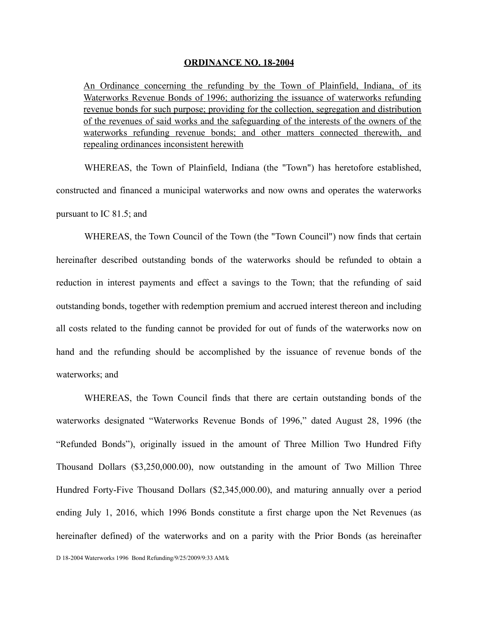#### **ORDINANCE NO. 18-2004**

An Ordinance concerning the refunding by the Town of Plainfield, Indiana, of its Waterworks Revenue Bonds of 1996; authorizing the issuance of waterworks refunding revenue bonds for such purpose; providing for the collection, segregation and distribution of the revenues of said works and the safeguarding of the interests of the owners of the waterworks refunding revenue bonds; and other matters connected therewith, and repealing ordinances inconsistent herewith

WHEREAS, the Town of Plainfield, Indiana (the "Town") has heretofore established, constructed and financed a municipal waterworks and now owns and operates the waterworks pursuant to IC 81.5; and

WHEREAS, the Town Council of the Town (the "Town Council") now finds that certain hereinafter described outstanding bonds of the waterworks should be refunded to obtain a reduction in interest payments and effect a savings to the Town; that the refunding of said outstanding bonds, together with redemption premium and accrued interest thereon and including all costs related to the funding cannot be provided for out of funds of the waterworks now on hand and the refunding should be accomplished by the issuance of revenue bonds of the waterworks; and

WHEREAS, the Town Council finds that there are certain outstanding bonds of the waterworks designated "Waterworks Revenue Bonds of 1996," dated August 28, 1996 (the "Refunded Bonds"), originally issued in the amount of Three Million Two Hundred Fifty Thousand Dollars (\$3,250,000.00), now outstanding in the amount of Two Million Three Hundred Forty-Five Thousand Dollars (\$2,345,000.00), and maturing annually over a period ending July 1, 2016, which 1996 Bonds constitute a first charge upon the Net Revenues (as hereinafter defined) of the waterworks and on a parity with the Prior Bonds (as hereinafter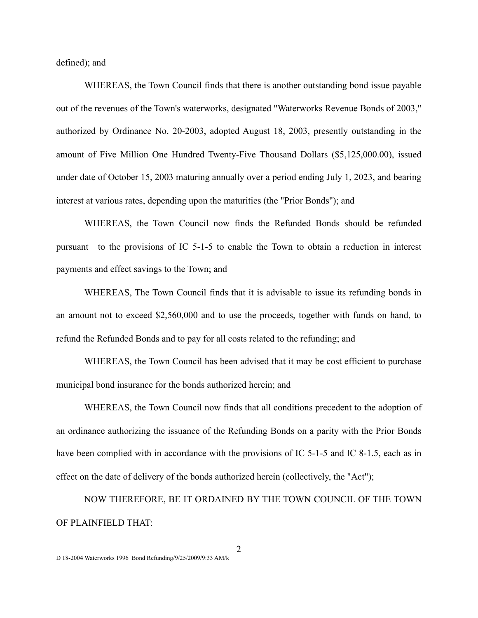defined); and

WHEREAS, the Town Council finds that there is another outstanding bond issue payable out of the revenues of the Town's waterworks, designated "Waterworks Revenue Bonds of 2003," authorized by Ordinance No. 20-2003, adopted August 18, 2003, presently outstanding in the amount of Five Million One Hundred Twenty-Five Thousand Dollars (\$5,125,000.00), issued under date of October 15, 2003 maturing annually over a period ending July 1, 2023, and bearing interest at various rates, depending upon the maturities (the "Prior Bonds"); and

WHEREAS, the Town Council now finds the Refunded Bonds should be refunded pursuant to the provisions of IC 5-1-5 to enable the Town to obtain a reduction in interest payments and effect savings to the Town; and

WHEREAS, The Town Council finds that it is advisable to issue its refunding bonds in an amount not to exceed \$2,560,000 and to use the proceeds, together with funds on hand, to refund the Refunded Bonds and to pay for all costs related to the refunding; and

WHEREAS, the Town Council has been advised that it may be cost efficient to purchase municipal bond insurance for the bonds authorized herein; and

WHEREAS, the Town Council now finds that all conditions precedent to the adoption of an ordinance authorizing the issuance of the Refunding Bonds on a parity with the Prior Bonds have been complied with in accordance with the provisions of IC 5-1-5 and IC 8-1.5, each as in effect on the date of delivery of the bonds authorized herein (collectively, the "Act");

NOW THEREFORE, BE IT ORDAINED BY THE TOWN COUNCIL OF THE TOWN OF PLAINFIELD THAT: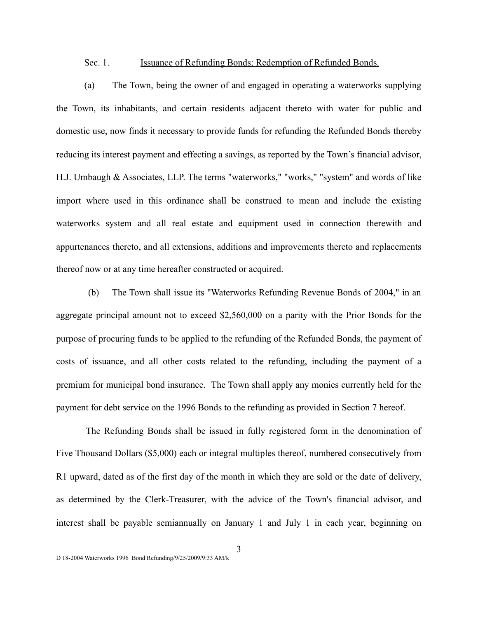#### Sec. 1. Issuance of Refunding Bonds; Redemption of Refunded Bonds.

(a) The Town, being the owner of and engaged in operating a waterworks supplying the Town, its inhabitants, and certain residents adjacent thereto with water for public and domestic use, now finds it necessary to provide funds for refunding the Refunded Bonds thereby reducing its interest payment and effecting a savings, as reported by the Town's financial advisor, H.J. Umbaugh & Associates, LLP. The terms "waterworks," "works," "system" and words of like import where used in this ordinance shall be construed to mean and include the existing waterworks system and all real estate and equipment used in connection therewith and appurtenances thereto, and all extensions, additions and improvements thereto and replacements thereof now or at any time hereafter constructed or acquired.

 (b) The Town shall issue its "Waterworks Refunding Revenue Bonds of 2004," in an aggregate principal amount not to exceed \$2,560,000 on a parity with the Prior Bonds for the purpose of procuring funds to be applied to the refunding of the Refunded Bonds, the payment of costs of issuance, and all other costs related to the refunding, including the payment of a premium for municipal bond insurance. The Town shall apply any monies currently held for the payment for debt service on the 1996 Bonds to the refunding as provided in Section 7 hereof.

The Refunding Bonds shall be issued in fully registered form in the denomination of Five Thousand Dollars (\$5,000) each or integral multiples thereof, numbered consecutively from R1 upward, dated as of the first day of the month in which they are sold or the date of delivery, as determined by the Clerk-Treasurer, with the advice of the Town's financial advisor, and interest shall be payable semiannually on January 1 and July 1 in each year, beginning on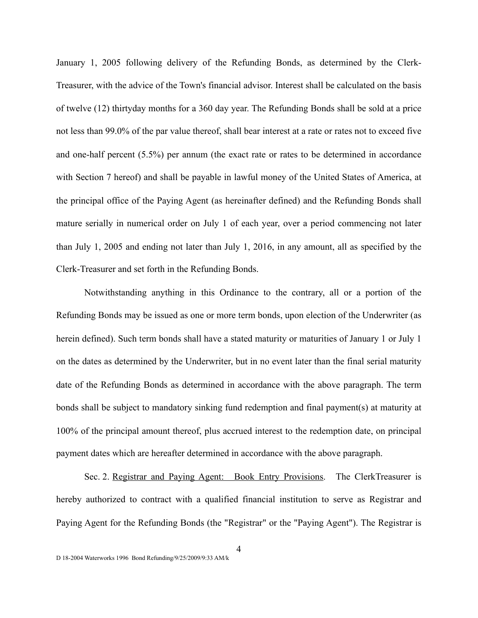January 1, 2005 following delivery of the Refunding Bonds, as determined by the Clerk-Treasurer, with the advice of the Town's financial advisor. Interest shall be calculated on the basis of twelve (12) thirtyday months for a 360 day year. The Refunding Bonds shall be sold at a price not less than 99.0% of the par value thereof, shall bear interest at a rate or rates not to exceed five and one-half percent (5.5%) per annum (the exact rate or rates to be determined in accordance with Section 7 hereof) and shall be payable in lawful money of the United States of America, at the principal office of the Paying Agent (as hereinafter defined) and the Refunding Bonds shall mature serially in numerical order on July 1 of each year, over a period commencing not later than July 1, 2005 and ending not later than July 1, 2016, in any amount, all as specified by the Clerk-Treasurer and set forth in the Refunding Bonds.

Notwithstanding anything in this Ordinance to the contrary, all or a portion of the Refunding Bonds may be issued as one or more term bonds, upon election of the Underwriter (as herein defined). Such term bonds shall have a stated maturity or maturities of January 1 or July 1 on the dates as determined by the Underwriter, but in no event later than the final serial maturity date of the Refunding Bonds as determined in accordance with the above paragraph. The term bonds shall be subject to mandatory sinking fund redemption and final payment(s) at maturity at 100% of the principal amount thereof, plus accrued interest to the redemption date, on principal payment dates which are hereafter determined in accordance with the above paragraph.

Sec. 2. Registrar and Paying Agent: Book Entry Provisions. The ClerkTreasurer is hereby authorized to contract with a qualified financial institution to serve as Registrar and Paying Agent for the Refunding Bonds (the "Registrar" or the "Paying Agent"). The Registrar is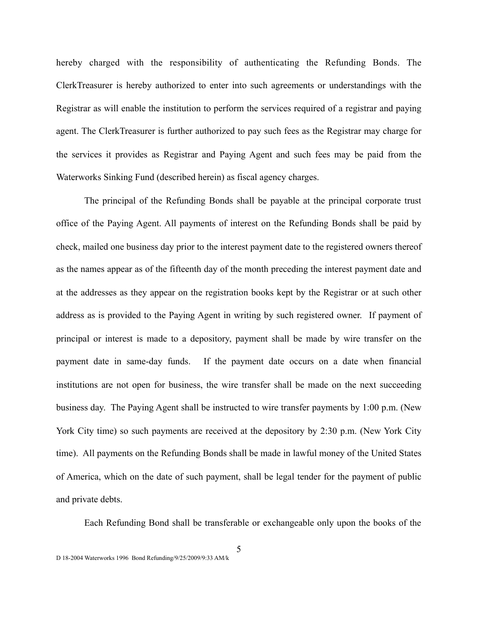hereby charged with the responsibility of authenticating the Refunding Bonds. The ClerkTreasurer is hereby authorized to enter into such agreements or understandings with the Registrar as will enable the institution to perform the services required of a registrar and paying agent. The ClerkTreasurer is further authorized to pay such fees as the Registrar may charge for the services it provides as Registrar and Paying Agent and such fees may be paid from the Waterworks Sinking Fund (described herein) as fiscal agency charges.

The principal of the Refunding Bonds shall be payable at the principal corporate trust office of the Paying Agent. All payments of interest on the Refunding Bonds shall be paid by check, mailed one business day prior to the interest payment date to the registered owners thereof as the names appear as of the fifteenth day of the month preceding the interest payment date and at the addresses as they appear on the registration books kept by the Registrar or at such other address as is provided to the Paying Agent in writing by such registered owner. If payment of principal or interest is made to a depository, payment shall be made by wire transfer on the payment date in same-day funds. If the payment date occurs on a date when financial institutions are not open for business, the wire transfer shall be made on the next succeeding business day. The Paying Agent shall be instructed to wire transfer payments by 1:00 p.m. (New York City time) so such payments are received at the depository by 2:30 p.m. (New York City time). All payments on the Refunding Bonds shall be made in lawful money of the United States of America, which on the date of such payment, shall be legal tender for the payment of public and private debts.

Each Refunding Bond shall be transferable or exchangeable only upon the books of the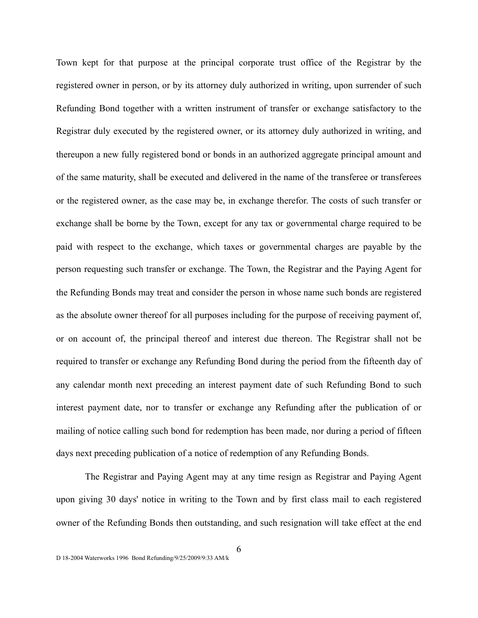Town kept for that purpose at the principal corporate trust office of the Registrar by the registered owner in person, or by its attorney duly authorized in writing, upon surrender of such Refunding Bond together with a written instrument of transfer or exchange satisfactory to the Registrar duly executed by the registered owner, or its attorney duly authorized in writing, and thereupon a new fully registered bond or bonds in an authorized aggregate principal amount and of the same maturity, shall be executed and delivered in the name of the transferee or transferees or the registered owner, as the case may be, in exchange therefor. The costs of such transfer or exchange shall be borne by the Town, except for any tax or governmental charge required to be paid with respect to the exchange, which taxes or governmental charges are payable by the person requesting such transfer or exchange. The Town, the Registrar and the Paying Agent for the Refunding Bonds may treat and consider the person in whose name such bonds are registered as the absolute owner thereof for all purposes including for the purpose of receiving payment of, or on account of, the principal thereof and interest due thereon. The Registrar shall not be required to transfer or exchange any Refunding Bond during the period from the fifteenth day of any calendar month next preceding an interest payment date of such Refunding Bond to such interest payment date, nor to transfer or exchange any Refunding after the publication of or mailing of notice calling such bond for redemption has been made, nor during a period of fifteen days next preceding publication of a notice of redemption of any Refunding Bonds.

The Registrar and Paying Agent may at any time resign as Registrar and Paying Agent upon giving 30 days' notice in writing to the Town and by first class mail to each registered owner of the Refunding Bonds then outstanding, and such resignation will take effect at the end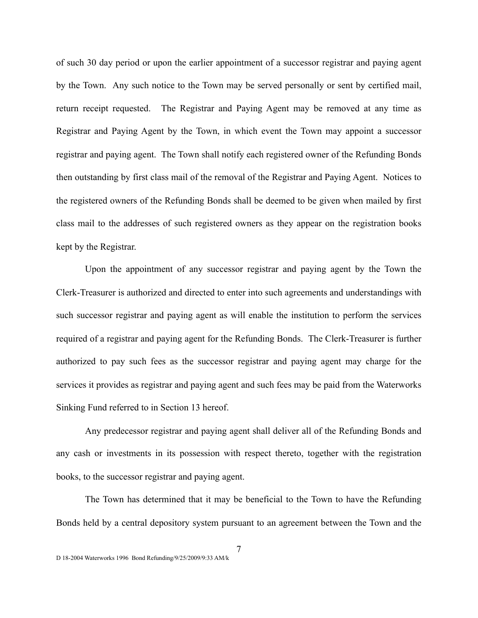of such 30 day period or upon the earlier appointment of a successor registrar and paying agent by the Town. Any such notice to the Town may be served personally or sent by certified mail, return receipt requested. The Registrar and Paying Agent may be removed at any time as Registrar and Paying Agent by the Town, in which event the Town may appoint a successor registrar and paying agent. The Town shall notify each registered owner of the Refunding Bonds then outstanding by first class mail of the removal of the Registrar and Paying Agent. Notices to the registered owners of the Refunding Bonds shall be deemed to be given when mailed by first class mail to the addresses of such registered owners as they appear on the registration books kept by the Registrar.

Upon the appointment of any successor registrar and paying agent by the Town the Clerk-Treasurer is authorized and directed to enter into such agreements and understandings with such successor registrar and paying agent as will enable the institution to perform the services required of a registrar and paying agent for the Refunding Bonds. The Clerk-Treasurer is further authorized to pay such fees as the successor registrar and paying agent may charge for the services it provides as registrar and paying agent and such fees may be paid from the Waterworks Sinking Fund referred to in Section 13 hereof.

Any predecessor registrar and paying agent shall deliver all of the Refunding Bonds and any cash or investments in its possession with respect thereto, together with the registration books, to the successor registrar and paying agent.

The Town has determined that it may be beneficial to the Town to have the Refunding Bonds held by a central depository system pursuant to an agreement between the Town and the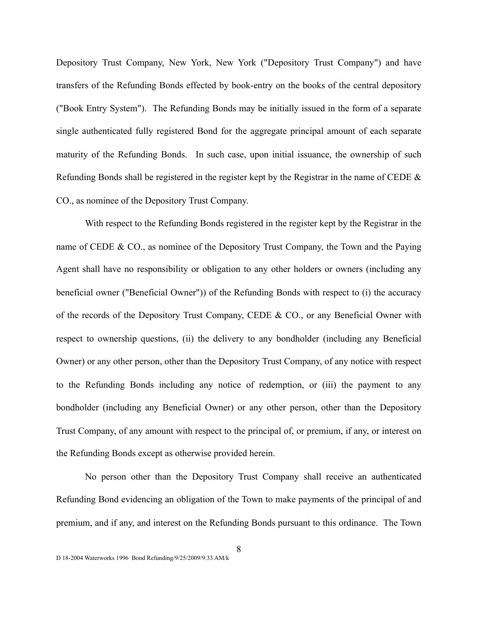Depository Trust Company, New York, New York ("Depository Trust Company") and have transfers of the Refunding Bonds effected by book-entry on the books of the central depository ("Book Entry System"). The Refunding Bonds may be initially issued in the form of a separate single authenticated fully registered Bond for the aggregate principal amount of each separate maturity of the Refunding Bonds. In such case, upon initial issuance, the ownership of such Refunding Bonds shall be registered in the register kept by the Registrar in the name of CEDE  $\&$ CO., as nominee of the Depository Trust Company.

With respect to the Refunding Bonds registered in the register kept by the Registrar in the name of CEDE & CO., as nominee of the Depository Trust Company, the Town and the Paying Agent shall have no responsibility or obligation to any other holders or owners (including any beneficial owner ("Beneficial Owner")) of the Refunding Bonds with respect to (i) the accuracy of the records of the Depository Trust Company, CEDE & CO., or any Beneficial Owner with respect to ownership questions, (ii) the delivery to any bondholder (including any Beneficial Owner) or any other person, other than the Depository Trust Company, of any notice with respect to the Refunding Bonds including any notice of redemption, or (iii) the payment to any bondholder (including any Beneficial Owner) or any other person, other than the Depository Trust Company, of any amount with respect to the principal of, or premium, if any, or interest on the Refunding Bonds except as otherwise provided herein.

No person other than the Depository Trust Company shall receive an authenticated Refunding Bond evidencing an obligation of the Town to make payments of the principal of and premium, and if any, and interest on the Refunding Bonds pursuant to this ordinance. The Town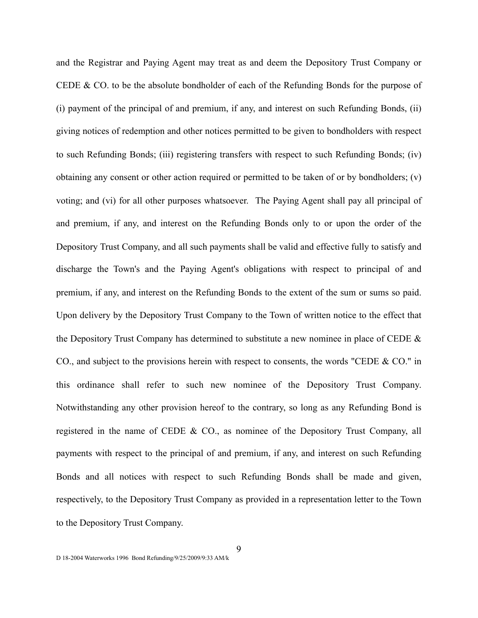and the Registrar and Paying Agent may treat as and deem the Depository Trust Company or CEDE & CO. to be the absolute bondholder of each of the Refunding Bonds for the purpose of (i) payment of the principal of and premium, if any, and interest on such Refunding Bonds, (ii) giving notices of redemption and other notices permitted to be given to bondholders with respect to such Refunding Bonds; (iii) registering transfers with respect to such Refunding Bonds; (iv) obtaining any consent or other action required or permitted to be taken of or by bondholders; (v) voting; and (vi) for all other purposes whatsoever. The Paying Agent shall pay all principal of and premium, if any, and interest on the Refunding Bonds only to or upon the order of the Depository Trust Company, and all such payments shall be valid and effective fully to satisfy and discharge the Town's and the Paying Agent's obligations with respect to principal of and premium, if any, and interest on the Refunding Bonds to the extent of the sum or sums so paid. Upon delivery by the Depository Trust Company to the Town of written notice to the effect that the Depository Trust Company has determined to substitute a new nominee in place of CEDE & CO., and subject to the provisions herein with respect to consents, the words "CEDE & CO." in this ordinance shall refer to such new nominee of the Depository Trust Company. Notwithstanding any other provision hereof to the contrary, so long as any Refunding Bond is registered in the name of CEDE & CO., as nominee of the Depository Trust Company, all payments with respect to the principal of and premium, if any, and interest on such Refunding Bonds and all notices with respect to such Refunding Bonds shall be made and given, respectively, to the Depository Trust Company as provided in a representation letter to the Town to the Depository Trust Company.

9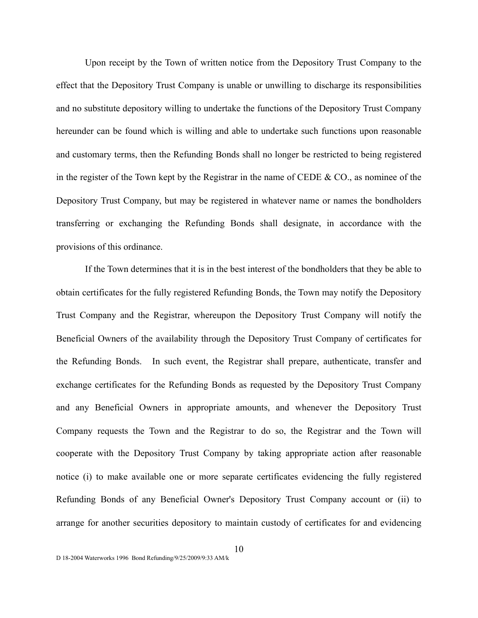Upon receipt by the Town of written notice from the Depository Trust Company to the effect that the Depository Trust Company is unable or unwilling to discharge its responsibilities and no substitute depository willing to undertake the functions of the Depository Trust Company hereunder can be found which is willing and able to undertake such functions upon reasonable and customary terms, then the Refunding Bonds shall no longer be restricted to being registered in the register of the Town kept by the Registrar in the name of CEDE & CO., as nominee of the Depository Trust Company, but may be registered in whatever name or names the bondholders transferring or exchanging the Refunding Bonds shall designate, in accordance with the provisions of this ordinance.

If the Town determines that it is in the best interest of the bondholders that they be able to obtain certificates for the fully registered Refunding Bonds, the Town may notify the Depository Trust Company and the Registrar, whereupon the Depository Trust Company will notify the Beneficial Owners of the availability through the Depository Trust Company of certificates for the Refunding Bonds. In such event, the Registrar shall prepare, authenticate, transfer and exchange certificates for the Refunding Bonds as requested by the Depository Trust Company and any Beneficial Owners in appropriate amounts, and whenever the Depository Trust Company requests the Town and the Registrar to do so, the Registrar and the Town will cooperate with the Depository Trust Company by taking appropriate action after reasonable notice (i) to make available one or more separate certificates evidencing the fully registered Refunding Bonds of any Beneficial Owner's Depository Trust Company account or (ii) to arrange for another securities depository to maintain custody of certificates for and evidencing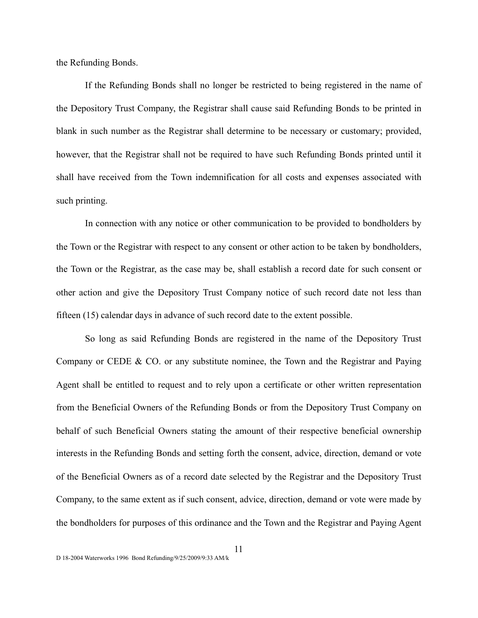the Refunding Bonds.

If the Refunding Bonds shall no longer be restricted to being registered in the name of the Depository Trust Company, the Registrar shall cause said Refunding Bonds to be printed in blank in such number as the Registrar shall determine to be necessary or customary; provided, however, that the Registrar shall not be required to have such Refunding Bonds printed until it shall have received from the Town indemnification for all costs and expenses associated with such printing.

In connection with any notice or other communication to be provided to bondholders by the Town or the Registrar with respect to any consent or other action to be taken by bondholders, the Town or the Registrar, as the case may be, shall establish a record date for such consent or other action and give the Depository Trust Company notice of such record date not less than fifteen (15) calendar days in advance of such record date to the extent possible.

So long as said Refunding Bonds are registered in the name of the Depository Trust Company or CEDE & CO. or any substitute nominee, the Town and the Registrar and Paying Agent shall be entitled to request and to rely upon a certificate or other written representation from the Beneficial Owners of the Refunding Bonds or from the Depository Trust Company on behalf of such Beneficial Owners stating the amount of their respective beneficial ownership interests in the Refunding Bonds and setting forth the consent, advice, direction, demand or vote of the Beneficial Owners as of a record date selected by the Registrar and the Depository Trust Company, to the same extent as if such consent, advice, direction, demand or vote were made by the bondholders for purposes of this ordinance and the Town and the Registrar and Paying Agent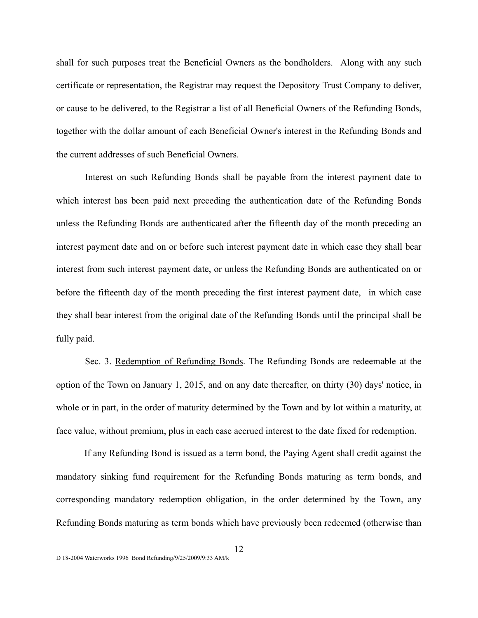shall for such purposes treat the Beneficial Owners as the bondholders. Along with any such certificate or representation, the Registrar may request the Depository Trust Company to deliver, or cause to be delivered, to the Registrar a list of all Beneficial Owners of the Refunding Bonds, together with the dollar amount of each Beneficial Owner's interest in the Refunding Bonds and the current addresses of such Beneficial Owners.

Interest on such Refunding Bonds shall be payable from the interest payment date to which interest has been paid next preceding the authentication date of the Refunding Bonds unless the Refunding Bonds are authenticated after the fifteenth day of the month preceding an interest payment date and on or before such interest payment date in which case they shall bear interest from such interest payment date, or unless the Refunding Bonds are authenticated on or before the fifteenth day of the month preceding the first interest payment date, in which case they shall bear interest from the original date of the Refunding Bonds until the principal shall be fully paid.

Sec. 3. Redemption of Refunding Bonds. The Refunding Bonds are redeemable at the option of the Town on January 1, 2015, and on any date thereafter, on thirty (30) days' notice, in whole or in part, in the order of maturity determined by the Town and by lot within a maturity, at face value, without premium, plus in each case accrued interest to the date fixed for redemption.

If any Refunding Bond is issued as a term bond, the Paying Agent shall credit against the mandatory sinking fund requirement for the Refunding Bonds maturing as term bonds, and corresponding mandatory redemption obligation, in the order determined by the Town, any Refunding Bonds maturing as term bonds which have previously been redeemed (otherwise than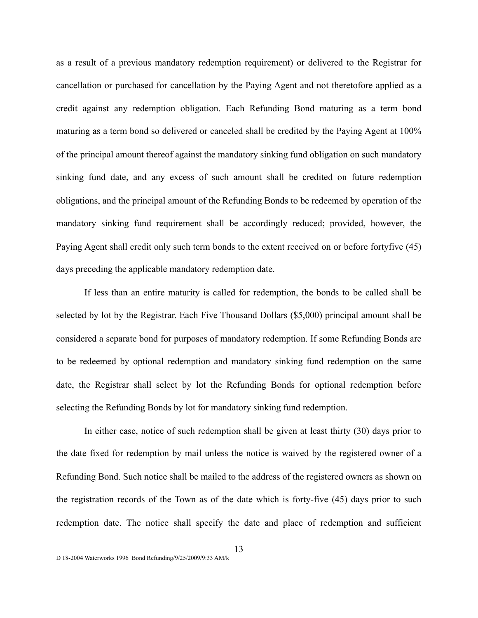as a result of a previous mandatory redemption requirement) or delivered to the Registrar for cancellation or purchased for cancellation by the Paying Agent and not theretofore applied as a credit against any redemption obligation. Each Refunding Bond maturing as a term bond maturing as a term bond so delivered or canceled shall be credited by the Paying Agent at 100% of the principal amount thereof against the mandatory sinking fund obligation on such mandatory sinking fund date, and any excess of such amount shall be credited on future redemption obligations, and the principal amount of the Refunding Bonds to be redeemed by operation of the mandatory sinking fund requirement shall be accordingly reduced; provided, however, the Paying Agent shall credit only such term bonds to the extent received on or before fortyfive (45) days preceding the applicable mandatory redemption date.

If less than an entire maturity is called for redemption, the bonds to be called shall be selected by lot by the Registrar. Each Five Thousand Dollars (\$5,000) principal amount shall be considered a separate bond for purposes of mandatory redemption. If some Refunding Bonds are to be redeemed by optional redemption and mandatory sinking fund redemption on the same date, the Registrar shall select by lot the Refunding Bonds for optional redemption before selecting the Refunding Bonds by lot for mandatory sinking fund redemption.

In either case, notice of such redemption shall be given at least thirty (30) days prior to the date fixed for redemption by mail unless the notice is waived by the registered owner of a Refunding Bond. Such notice shall be mailed to the address of the registered owners as shown on the registration records of the Town as of the date which is forty-five (45) days prior to such redemption date. The notice shall specify the date and place of redemption and sufficient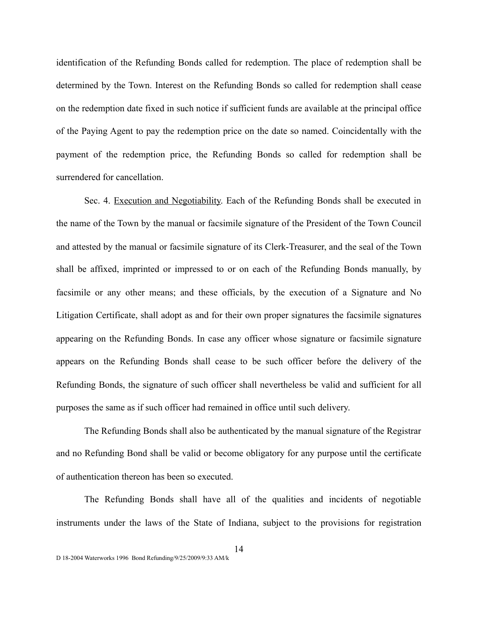identification of the Refunding Bonds called for redemption. The place of redemption shall be determined by the Town. Interest on the Refunding Bonds so called for redemption shall cease on the redemption date fixed in such notice if sufficient funds are available at the principal office of the Paying Agent to pay the redemption price on the date so named. Coincidentally with the payment of the redemption price, the Refunding Bonds so called for redemption shall be surrendered for cancellation.

Sec. 4. Execution and Negotiability. Each of the Refunding Bonds shall be executed in the name of the Town by the manual or facsimile signature of the President of the Town Council and attested by the manual or facsimile signature of its Clerk-Treasurer, and the seal of the Town shall be affixed, imprinted or impressed to or on each of the Refunding Bonds manually, by facsimile or any other means; and these officials, by the execution of a Signature and No Litigation Certificate, shall adopt as and for their own proper signatures the facsimile signatures appearing on the Refunding Bonds. In case any officer whose signature or facsimile signature appears on the Refunding Bonds shall cease to be such officer before the delivery of the Refunding Bonds, the signature of such officer shall nevertheless be valid and sufficient for all purposes the same as if such officer had remained in office until such delivery.

The Refunding Bonds shall also be authenticated by the manual signature of the Registrar and no Refunding Bond shall be valid or become obligatory for any purpose until the certificate of authentication thereon has been so executed.

The Refunding Bonds shall have all of the qualities and incidents of negotiable instruments under the laws of the State of Indiana, subject to the provisions for registration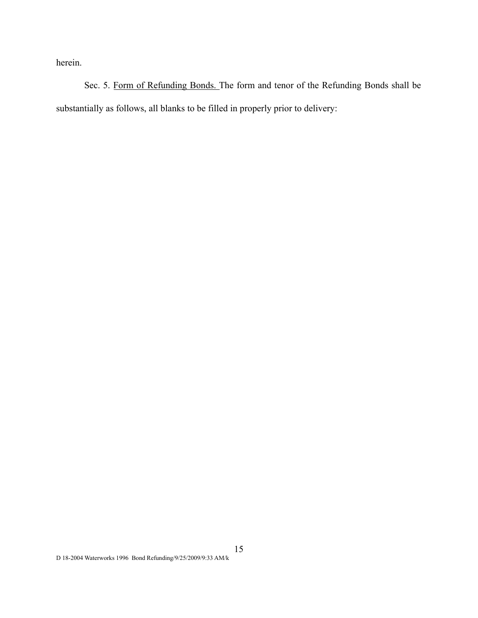herein.

Sec. 5. Form of Refunding Bonds. The form and tenor of the Refunding Bonds shall be substantially as follows, all blanks to be filled in properly prior to delivery: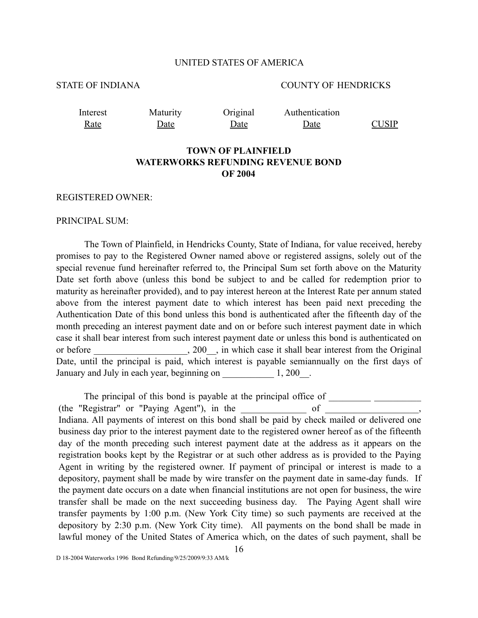## UNITED STATES OF AMERICA

## STATE OF INDIANA COUNTY OF HENDRICKS

Interest Rate

Maturity Date

Original Date Authentication

Date CUSIP

# **TOWN OF PLAINFIELD WATERWORKS REFUNDING REVENUE BOND OF 2004**

REGISTERED OWNER:

#### PRINCIPAL SUM:

The Town of Plainfield, in Hendricks County, State of Indiana, for value received, hereby promises to pay to the Registered Owner named above or registered assigns, solely out of the special revenue fund hereinafter referred to, the Principal Sum set forth above on the Maturity Date set forth above (unless this bond be subject to and be called for redemption prior to maturity as hereinafter provided), and to pay interest hereon at the Interest Rate per annum stated above from the interest payment date to which interest has been paid next preceding the Authentication Date of this bond unless this bond is authenticated after the fifteenth day of the month preceding an interest payment date and on or before such interest payment date in which case it shall bear interest from such interest payment date or unless this bond is authenticated on or before  $, 200$ , in which case it shall bear interest from the Original Date, until the principal is paid, which interest is payable semiannually on the first days of January and July in each year, beginning on  $1, 200$ .

The principal of this bond is payable at the principal office of \_\_\_\_\_\_\_\_\_\_\_\_\_\_\_  $(the$  "Registrar" or "Paying Agent"), in the  $of$ Indiana. All payments of interest on this bond shall be paid by check mailed or delivered one business day prior to the interest payment date to the registered owner hereof as of the fifteenth day of the month preceding such interest payment date at the address as it appears on the registration books kept by the Registrar or at such other address as is provided to the Paying Agent in writing by the registered owner. If payment of principal or interest is made to a depository, payment shall be made by wire transfer on the payment date in same-day funds. If the payment date occurs on a date when financial institutions are not open for business, the wire transfer shall be made on the next succeeding business day. The Paying Agent shall wire transfer payments by 1:00 p.m. (New York City time) so such payments are received at the depository by 2:30 p.m. (New York City time). All payments on the bond shall be made in lawful money of the United States of America which, on the dates of such payment, shall be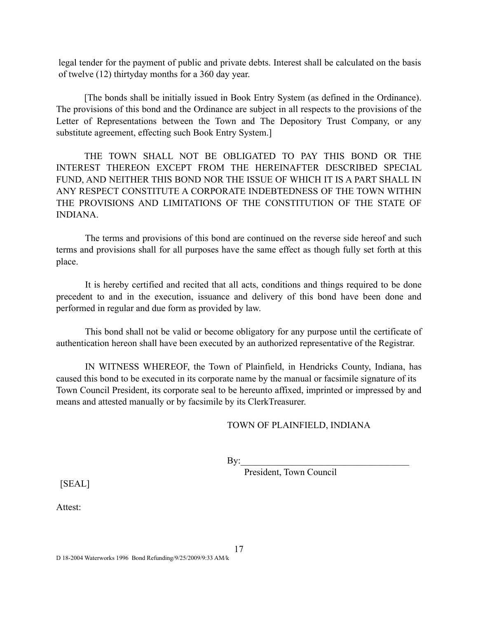legal tender for the payment of public and private debts. Interest shall be calculated on the basis of twelve (12) thirtyday months for a 360 day year.

 [The bonds shall be initially issued in Book Entry System (as defined in the Ordinance). The provisions of this bond and the Ordinance are subject in all respects to the provisions of the Letter of Representations between the Town and The Depository Trust Company, or any substitute agreement, effecting such Book Entry System.]

 THE TOWN SHALL NOT BE OBLIGATED TO PAY THIS BOND OR THE INTEREST THEREON EXCEPT FROM THE HEREINAFTER DESCRIBED SPECIAL FUND, AND NEITHER THIS BOND NOR THE ISSUE OF WHICH IT IS A PART SHALL IN ANY RESPECT CONSTITUTE A CORPORATE INDEBTEDNESS OF THE TOWN WITHIN THE PROVISIONS AND LIMITATIONS OF THE CONSTITUTION OF THE STATE OF INDIANA.

The terms and provisions of this bond are continued on the reverse side hereof and such terms and provisions shall for all purposes have the same effect as though fully set forth at this place.

It is hereby certified and recited that all acts, conditions and things required to be done precedent to and in the execution, issuance and delivery of this bond have been done and performed in regular and due form as provided by law.

This bond shall not be valid or become obligatory for any purpose until the certificate of authentication hereon shall have been executed by an authorized representative of the Registrar.

IN WITNESS WHEREOF, the Town of Plainfield, in Hendricks County, Indiana, has caused this bond to be executed in its corporate name by the manual or facsimile signature of its Town Council President, its corporate seal to be hereunto affixed, imprinted or impressed by and means and attested manually or by facsimile by its ClerkTreasurer.

# TOWN OF PLAINFIELD, INDIANA

 $\mathbf{By:}$ 

President, Town Council

[SEAL]

Attest: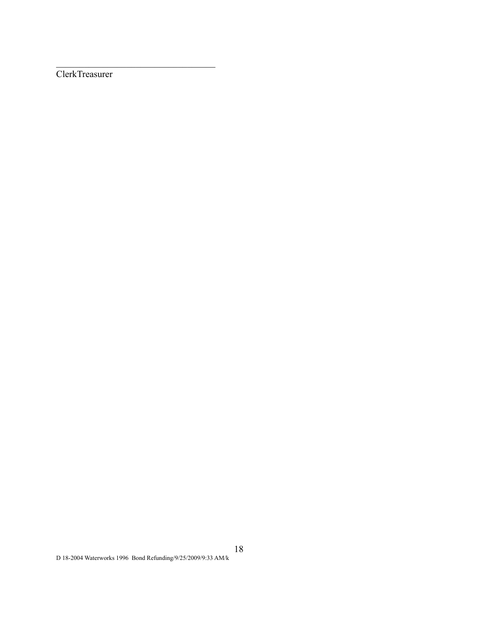ClerkTreasurer

 $\mathcal{L}_\text{max}$  , where  $\mathcal{L}_\text{max}$  and  $\mathcal{L}_\text{max}$  and  $\mathcal{L}_\text{max}$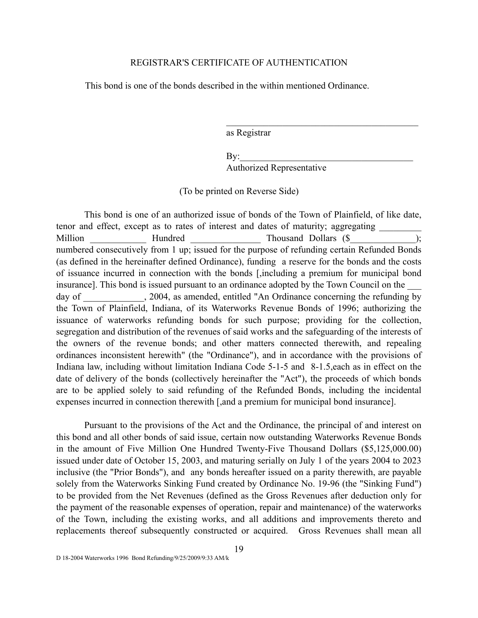## REGISTRAR'S CERTIFICATE OF AUTHENTICATION

This bond is one of the bonds described in the within mentioned Ordinance.

as Registrar

 $\mathbf{By:}$ Authorized Representative

\_\_\_\_\_\_\_\_\_\_\_\_\_\_\_\_\_\_\_\_\_\_\_\_\_\_\_\_\_\_\_\_\_\_\_\_\_\_\_\_\_

(To be printed on Reverse Side)

 This bond is one of an authorized issue of bonds of the Town of Plainfield, of like date, tenor and effect, except as to rates of interest and dates of maturity; aggregating \_ Million \_\_\_\_\_\_\_\_\_\_\_\_\_ Hundred \_\_\_\_\_\_\_\_\_\_\_\_\_\_\_ Thousand Dollars (\$ numbered consecutively from 1 up; issued for the purpose of refunding certain Refunded Bonds (as defined in the hereinafter defined Ordinance), funding a reserve for the bonds and the costs of issuance incurred in connection with the bonds [,including a premium for municipal bond insurance]. This bond is issued pursuant to an ordinance adopted by the Town Council on the day of  $\qquad \qquad$ , 2004, as amended, entitled "An Ordinance concerning the refunding by the Town of Plainfield, Indiana, of its Waterworks Revenue Bonds of 1996; authorizing the issuance of waterworks refunding bonds for such purpose; providing for the collection, segregation and distribution of the revenues of said works and the safeguarding of the interests of the owners of the revenue bonds; and other matters connected therewith, and repealing ordinances inconsistent herewith" (the "Ordinance"), and in accordance with the provisions of Indiana law, including without limitation Indiana Code 5-1-5 and 8-1.5,each as in effect on the date of delivery of the bonds (collectively hereinafter the "Act"), the proceeds of which bonds are to be applied solely to said refunding of the Refunded Bonds, including the incidental expenses incurred in connection therewith [,and a premium for municipal bond insurance].

 Pursuant to the provisions of the Act and the Ordinance, the principal of and interest on this bond and all other bonds of said issue, certain now outstanding Waterworks Revenue Bonds in the amount of Five Million One Hundred Twenty-Five Thousand Dollars (\$5,125,000.00) issued under date of October 15, 2003, and maturing serially on July 1 of the years 2004 to 2023 inclusive (the "Prior Bonds"), and any bonds hereafter issued on a parity therewith, are payable solely from the Waterworks Sinking Fund created by Ordinance No. 19-96 (the "Sinking Fund") to be provided from the Net Revenues (defined as the Gross Revenues after deduction only for the payment of the reasonable expenses of operation, repair and maintenance) of the waterworks of the Town, including the existing works, and all additions and improvements thereto and replacements thereof subsequently constructed or acquired. Gross Revenues shall mean all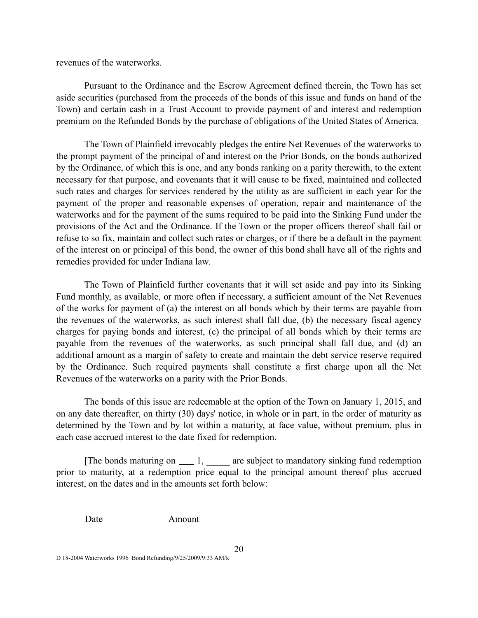revenues of the waterworks.

 Pursuant to the Ordinance and the Escrow Agreement defined therein, the Town has set aside securities (purchased from the proceeds of the bonds of this issue and funds on hand of the Town) and certain cash in a Trust Account to provide payment of and interest and redemption premium on the Refunded Bonds by the purchase of obligations of the United States of America.

The Town of Plainfield irrevocably pledges the entire Net Revenues of the waterworks to the prompt payment of the principal of and interest on the Prior Bonds, on the bonds authorized by the Ordinance, of which this is one, and any bonds ranking on a parity therewith, to the extent necessary for that purpose, and covenants that it will cause to be fixed, maintained and collected such rates and charges for services rendered by the utility as are sufficient in each year for the payment of the proper and reasonable expenses of operation, repair and maintenance of the waterworks and for the payment of the sums required to be paid into the Sinking Fund under the provisions of the Act and the Ordinance. If the Town or the proper officers thereof shall fail or refuse to so fix, maintain and collect such rates or charges, or if there be a default in the payment of the interest on or principal of this bond, the owner of this bond shall have all of the rights and remedies provided for under Indiana law.

The Town of Plainfield further covenants that it will set aside and pay into its Sinking Fund monthly, as available, or more often if necessary, a sufficient amount of the Net Revenues of the works for payment of (a) the interest on all bonds which by their terms are payable from the revenues of the waterworks, as such interest shall fall due, (b) the necessary fiscal agency charges for paying bonds and interest, (c) the principal of all bonds which by their terms are payable from the revenues of the waterworks, as such principal shall fall due, and (d) an additional amount as a margin of safety to create and maintain the debt service reserve required by the Ordinance. Such required payments shall constitute a first charge upon all the Net Revenues of the waterworks on a parity with the Prior Bonds.

 The bonds of this issue are redeemable at the option of the Town on January 1, 2015, and on any date thereafter, on thirty (30) days' notice, in whole or in part, in the order of maturity as determined by the Town and by lot within a maturity, at face value, without premium, plus in each case accrued interest to the date fixed for redemption.

[The bonds maturing on  $\_\_$ 1,  $\_\_$  are subject to mandatory sinking fund redemption prior to maturity, at a redemption price equal to the principal amount thereof plus accrued interest, on the dates and in the amounts set forth below:

Date Amount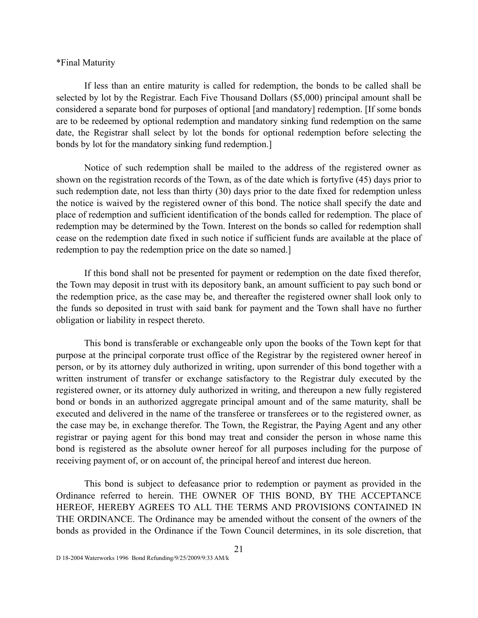## \*Final Maturity

If less than an entire maturity is called for redemption, the bonds to be called shall be selected by lot by the Registrar. Each Five Thousand Dollars (\$5,000) principal amount shall be considered a separate bond for purposes of optional [and mandatory] redemption. [If some bonds are to be redeemed by optional redemption and mandatory sinking fund redemption on the same date, the Registrar shall select by lot the bonds for optional redemption before selecting the bonds by lot for the mandatory sinking fund redemption.]

Notice of such redemption shall be mailed to the address of the registered owner as shown on the registration records of the Town, as of the date which is fortyfive (45) days prior to such redemption date, not less than thirty (30) days prior to the date fixed for redemption unless the notice is waived by the registered owner of this bond. The notice shall specify the date and place of redemption and sufficient identification of the bonds called for redemption. The place of redemption may be determined by the Town. Interest on the bonds so called for redemption shall cease on the redemption date fixed in such notice if sufficient funds are available at the place of redemption to pay the redemption price on the date so named.]

If this bond shall not be presented for payment or redemption on the date fixed therefor, the Town may deposit in trust with its depository bank, an amount sufficient to pay such bond or the redemption price, as the case may be, and thereafter the registered owner shall look only to the funds so deposited in trust with said bank for payment and the Town shall have no further obligation or liability in respect thereto.

This bond is transferable or exchangeable only upon the books of the Town kept for that purpose at the principal corporate trust office of the Registrar by the registered owner hereof in person, or by its attorney duly authorized in writing, upon surrender of this bond together with a written instrument of transfer or exchange satisfactory to the Registrar duly executed by the registered owner, or its attorney duly authorized in writing, and thereupon a new fully registered bond or bonds in an authorized aggregate principal amount and of the same maturity, shall be executed and delivered in the name of the transferee or transferees or to the registered owner, as the case may be, in exchange therefor. The Town, the Registrar, the Paying Agent and any other registrar or paying agent for this bond may treat and consider the person in whose name this bond is registered as the absolute owner hereof for all purposes including for the purpose of receiving payment of, or on account of, the principal hereof and interest due hereon.

This bond is subject to defeasance prior to redemption or payment as provided in the Ordinance referred to herein. THE OWNER OF THIS BOND, BY THE ACCEPTANCE HEREOF, HEREBY AGREES TO ALL THE TERMS AND PROVISIONS CONTAINED IN THE ORDINANCE. The Ordinance may be amended without the consent of the owners of the bonds as provided in the Ordinance if the Town Council determines, in its sole discretion, that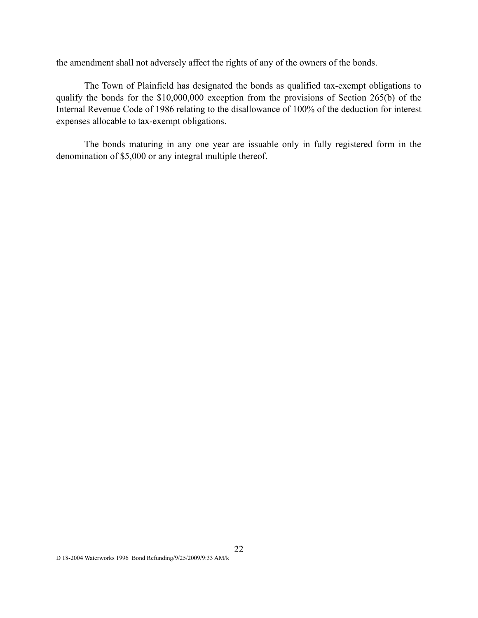the amendment shall not adversely affect the rights of any of the owners of the bonds.

The Town of Plainfield has designated the bonds as qualified tax-exempt obligations to qualify the bonds for the \$10,000,000 exception from the provisions of Section 265(b) of the Internal Revenue Code of 1986 relating to the disallowance of 100% of the deduction for interest expenses allocable to tax-exempt obligations.

The bonds maturing in any one year are issuable only in fully registered form in the denomination of \$5,000 or any integral multiple thereof.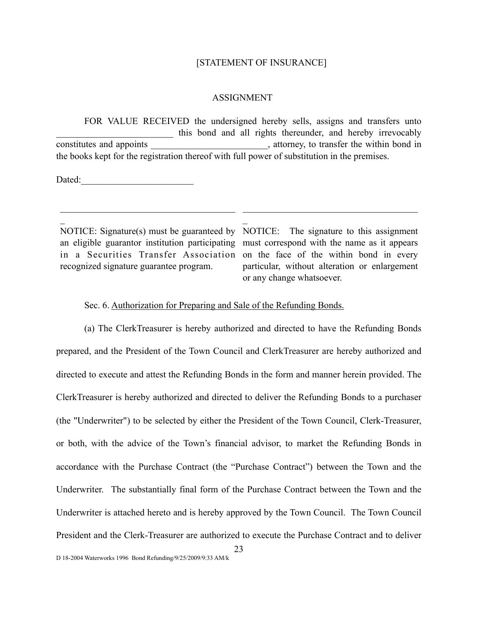#### [STATEMENT OF INSURANCE]

#### ASSIGNMENT

 FOR VALUE RECEIVED the undersigned hereby sells, assigns and transfers unto this bond and all rights thereunder, and hereby irrevocably constitutes and appoints example and appoints and appoints are set of the within bond in the books kept for the registration thereof with full power of substitution in the premises.

 $\overline{a}$ 

Dated:

 $\overline{a}$ 

NOTICE: Signature(s) must be guaranteed by NOTICE: The signature to this assignment recognized signature guarantee program.

 $\mathcal{L}_\text{max}$  and  $\mathcal{L}_\text{max}$  and  $\mathcal{L}_\text{max}$  and  $\mathcal{L}_\text{max}$ 

an eligible guarantor institution participating must correspond with the name as it appears in a Securities Transfer Association on the face of the within bond in every particular, without alteration or enlargement or any change whatsoever.

 $\mathcal{L}_\text{max}$  and  $\mathcal{L}_\text{max}$  and  $\mathcal{L}_\text{max}$  and  $\mathcal{L}_\text{max}$ 

## Sec. 6. Authorization for Preparing and Sale of the Refunding Bonds.

 (a) The ClerkTreasurer is hereby authorized and directed to have the Refunding Bonds prepared, and the President of the Town Council and ClerkTreasurer are hereby authorized and directed to execute and attest the Refunding Bonds in the form and manner herein provided. The ClerkTreasurer is hereby authorized and directed to deliver the Refunding Bonds to a purchaser (the "Underwriter") to be selected by either the President of the Town Council, Clerk-Treasurer, or both, with the advice of the Town's financial advisor, to market the Refunding Bonds in accordance with the Purchase Contract (the "Purchase Contract") between the Town and the Underwriter. The substantially final form of the Purchase Contract between the Town and the Underwriter is attached hereto and is hereby approved by the Town Council. The Town Council President and the Clerk-Treasurer are authorized to execute the Purchase Contract and to deliver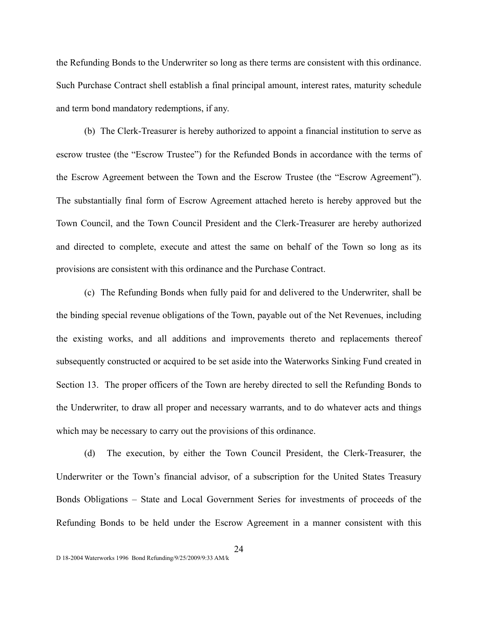the Refunding Bonds to the Underwriter so long as there terms are consistent with this ordinance. Such Purchase Contract shell establish a final principal amount, interest rates, maturity schedule and term bond mandatory redemptions, if any.

 (b) The Clerk-Treasurer is hereby authorized to appoint a financial institution to serve as escrow trustee (the "Escrow Trustee") for the Refunded Bonds in accordance with the terms of the Escrow Agreement between the Town and the Escrow Trustee (the "Escrow Agreement"). The substantially final form of Escrow Agreement attached hereto is hereby approved but the Town Council, and the Town Council President and the Clerk-Treasurer are hereby authorized and directed to complete, execute and attest the same on behalf of the Town so long as its provisions are consistent with this ordinance and the Purchase Contract.

 (c) The Refunding Bonds when fully paid for and delivered to the Underwriter, shall be the binding special revenue obligations of the Town, payable out of the Net Revenues, including the existing works, and all additions and improvements thereto and replacements thereof subsequently constructed or acquired to be set aside into the Waterworks Sinking Fund created in Section 13. The proper officers of the Town are hereby directed to sell the Refunding Bonds to the Underwriter, to draw all proper and necessary warrants, and to do whatever acts and things which may be necessary to carry out the provisions of this ordinance.

 (d) The execution, by either the Town Council President, the Clerk-Treasurer, the Underwriter or the Town's financial advisor, of a subscription for the United States Treasury Bonds Obligations – State and Local Government Series for investments of proceeds of the Refunding Bonds to be held under the Escrow Agreement in a manner consistent with this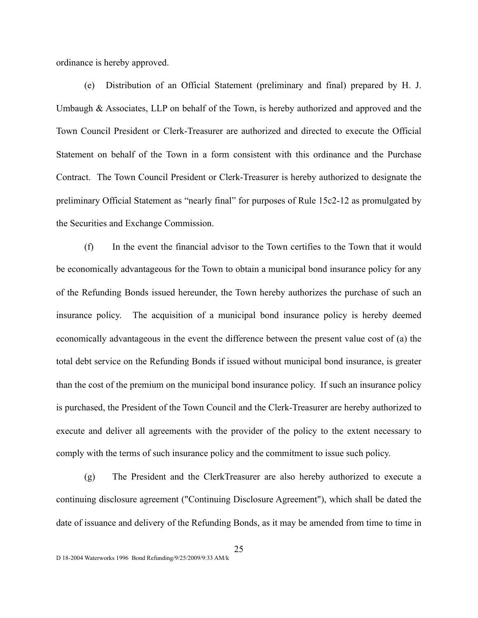ordinance is hereby approved.

 (e) Distribution of an Official Statement (preliminary and final) prepared by H. J. Umbaugh  $\&$  Associates, LLP on behalf of the Town, is hereby authorized and approved and the Town Council President or Clerk-Treasurer are authorized and directed to execute the Official Statement on behalf of the Town in a form consistent with this ordinance and the Purchase Contract. The Town Council President or Clerk-Treasurer is hereby authorized to designate the preliminary Official Statement as "nearly final" for purposes of Rule 15c2-12 as promulgated by the Securities and Exchange Commission.

 (f) In the event the financial advisor to the Town certifies to the Town that it would be economically advantageous for the Town to obtain a municipal bond insurance policy for any of the Refunding Bonds issued hereunder, the Town hereby authorizes the purchase of such an insurance policy. The acquisition of a municipal bond insurance policy is hereby deemed economically advantageous in the event the difference between the present value cost of (a) the total debt service on the Refunding Bonds if issued without municipal bond insurance, is greater than the cost of the premium on the municipal bond insurance policy. If such an insurance policy is purchased, the President of the Town Council and the Clerk-Treasurer are hereby authorized to execute and deliver all agreements with the provider of the policy to the extent necessary to comply with the terms of such insurance policy and the commitment to issue such policy.

 (g) The President and the ClerkTreasurer are also hereby authorized to execute a continuing disclosure agreement ("Continuing Disclosure Agreement"), which shall be dated the date of issuance and delivery of the Refunding Bonds, as it may be amended from time to time in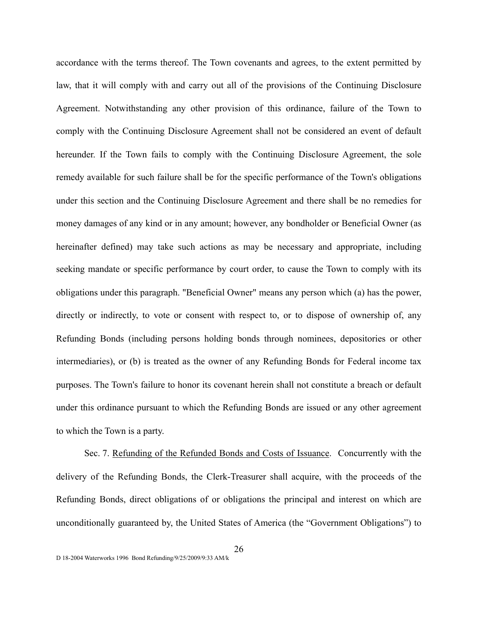accordance with the terms thereof. The Town covenants and agrees, to the extent permitted by law, that it will comply with and carry out all of the provisions of the Continuing Disclosure Agreement. Notwithstanding any other provision of this ordinance, failure of the Town to comply with the Continuing Disclosure Agreement shall not be considered an event of default hereunder. If the Town fails to comply with the Continuing Disclosure Agreement, the sole remedy available for such failure shall be for the specific performance of the Town's obligations under this section and the Continuing Disclosure Agreement and there shall be no remedies for money damages of any kind or in any amount; however, any bondholder or Beneficial Owner (as hereinafter defined) may take such actions as may be necessary and appropriate, including seeking mandate or specific performance by court order, to cause the Town to comply with its obligations under this paragraph. "Beneficial Owner" means any person which (a) has the power, directly or indirectly, to vote or consent with respect to, or to dispose of ownership of, any Refunding Bonds (including persons holding bonds through nominees, depositories or other intermediaries), or (b) is treated as the owner of any Refunding Bonds for Federal income tax purposes. The Town's failure to honor its covenant herein shall not constitute a breach or default under this ordinance pursuant to which the Refunding Bonds are issued or any other agreement to which the Town is a party.

 Sec. 7. Refunding of the Refunded Bonds and Costs of Issuance. Concurrently with the delivery of the Refunding Bonds, the Clerk-Treasurer shall acquire, with the proceeds of the Refunding Bonds, direct obligations of or obligations the principal and interest on which are unconditionally guaranteed by, the United States of America (the "Government Obligations") to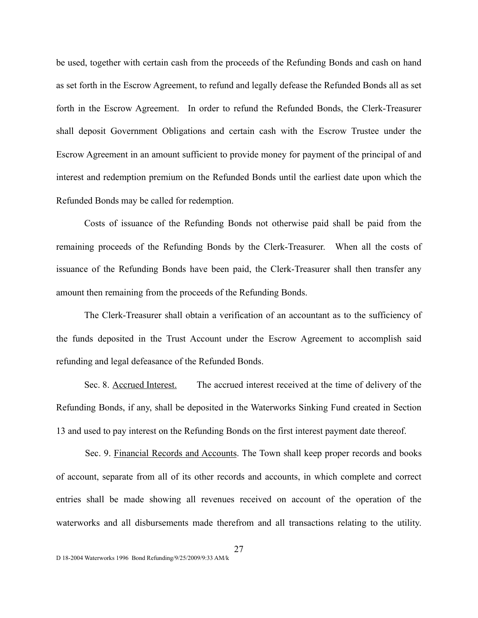be used, together with certain cash from the proceeds of the Refunding Bonds and cash on hand as set forth in the Escrow Agreement, to refund and legally defease the Refunded Bonds all as set forth in the Escrow Agreement. In order to refund the Refunded Bonds, the Clerk-Treasurer shall deposit Government Obligations and certain cash with the Escrow Trustee under the Escrow Agreement in an amount sufficient to provide money for payment of the principal of and interest and redemption premium on the Refunded Bonds until the earliest date upon which the Refunded Bonds may be called for redemption.

 Costs of issuance of the Refunding Bonds not otherwise paid shall be paid from the remaining proceeds of the Refunding Bonds by the Clerk-Treasurer. When all the costs of issuance of the Refunding Bonds have been paid, the Clerk-Treasurer shall then transfer any amount then remaining from the proceeds of the Refunding Bonds.

 The Clerk-Treasurer shall obtain a verification of an accountant as to the sufficiency of the funds deposited in the Trust Account under the Escrow Agreement to accomplish said refunding and legal defeasance of the Refunded Bonds.

 Sec. 8. Accrued Interest. The accrued interest received at the time of delivery of the Refunding Bonds, if any, shall be deposited in the Waterworks Sinking Fund created in Section 13 and used to pay interest on the Refunding Bonds on the first interest payment date thereof.

Sec. 9. Financial Records and Accounts. The Town shall keep proper records and books of account, separate from all of its other records and accounts, in which complete and correct entries shall be made showing all revenues received on account of the operation of the waterworks and all disbursements made therefrom and all transactions relating to the utility.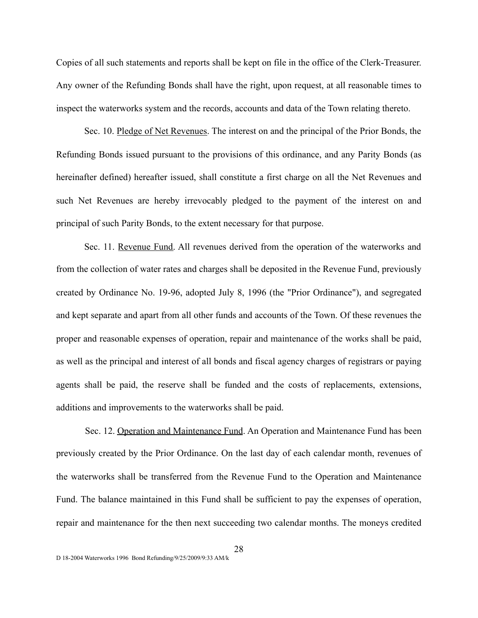Copies of all such statements and reports shall be kept on file in the office of the Clerk-Treasurer. Any owner of the Refunding Bonds shall have the right, upon request, at all reasonable times to inspect the waterworks system and the records, accounts and data of the Town relating thereto.

Sec. 10. Pledge of Net Revenues. The interest on and the principal of the Prior Bonds, the Refunding Bonds issued pursuant to the provisions of this ordinance, and any Parity Bonds (as hereinafter defined) hereafter issued, shall constitute a first charge on all the Net Revenues and such Net Revenues are hereby irrevocably pledged to the payment of the interest on and principal of such Parity Bonds, to the extent necessary for that purpose.

Sec. 11. Revenue Fund. All revenues derived from the operation of the waterworks and from the collection of water rates and charges shall be deposited in the Revenue Fund, previously created by Ordinance No. 19-96, adopted July 8, 1996 (the "Prior Ordinance"), and segregated and kept separate and apart from all other funds and accounts of the Town. Of these revenues the proper and reasonable expenses of operation, repair and maintenance of the works shall be paid, as well as the principal and interest of all bonds and fiscal agency charges of registrars or paying agents shall be paid, the reserve shall be funded and the costs of replacements, extensions, additions and improvements to the waterworks shall be paid.

Sec. 12. Operation and Maintenance Fund. An Operation and Maintenance Fund has been previously created by the Prior Ordinance. On the last day of each calendar month, revenues of the waterworks shall be transferred from the Revenue Fund to the Operation and Maintenance Fund. The balance maintained in this Fund shall be sufficient to pay the expenses of operation, repair and maintenance for the then next succeeding two calendar months. The moneys credited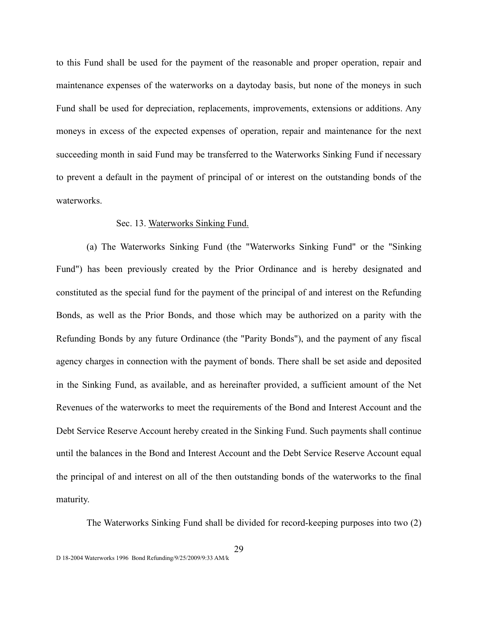to this Fund shall be used for the payment of the reasonable and proper operation, repair and maintenance expenses of the waterworks on a daytoday basis, but none of the moneys in such Fund shall be used for depreciation, replacements, improvements, extensions or additions. Any moneys in excess of the expected expenses of operation, repair and maintenance for the next succeeding month in said Fund may be transferred to the Waterworks Sinking Fund if necessary to prevent a default in the payment of principal of or interest on the outstanding bonds of the waterworks.

## Sec. 13. Waterworks Sinking Fund.

(a) The Waterworks Sinking Fund (the "Waterworks Sinking Fund" or the "Sinking Fund") has been previously created by the Prior Ordinance and is hereby designated and constituted as the special fund for the payment of the principal of and interest on the Refunding Bonds, as well as the Prior Bonds, and those which may be authorized on a parity with the Refunding Bonds by any future Ordinance (the "Parity Bonds"), and the payment of any fiscal agency charges in connection with the payment of bonds. There shall be set aside and deposited in the Sinking Fund, as available, and as hereinafter provided, a sufficient amount of the Net Revenues of the waterworks to meet the requirements of the Bond and Interest Account and the Debt Service Reserve Account hereby created in the Sinking Fund. Such payments shall continue until the balances in the Bond and Interest Account and the Debt Service Reserve Account equal the principal of and interest on all of the then outstanding bonds of the waterworks to the final maturity.

The Waterworks Sinking Fund shall be divided for record-keeping purposes into two (2)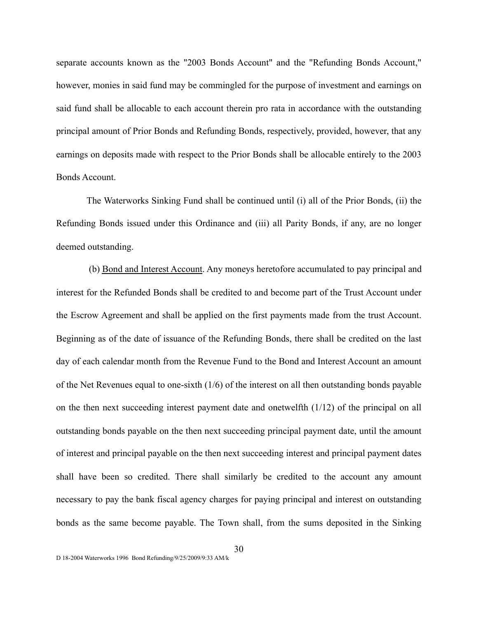separate accounts known as the "2003 Bonds Account" and the "Refunding Bonds Account," however, monies in said fund may be commingled for the purpose of investment and earnings on said fund shall be allocable to each account therein pro rata in accordance with the outstanding principal amount of Prior Bonds and Refunding Bonds, respectively, provided, however, that any earnings on deposits made with respect to the Prior Bonds shall be allocable entirely to the 2003 Bonds Account.

The Waterworks Sinking Fund shall be continued until (i) all of the Prior Bonds, (ii) the Refunding Bonds issued under this Ordinance and (iii) all Parity Bonds, if any, are no longer deemed outstanding.

 (b) Bond and Interest Account. Any moneys heretofore accumulated to pay principal and interest for the Refunded Bonds shall be credited to and become part of the Trust Account under the Escrow Agreement and shall be applied on the first payments made from the trust Account. Beginning as of the date of issuance of the Refunding Bonds, there shall be credited on the last day of each calendar month from the Revenue Fund to the Bond and Interest Account an amount of the Net Revenues equal to one-sixth (1/6) of the interest on all then outstanding bonds payable on the then next succeeding interest payment date and onetwelfth (1/12) of the principal on all outstanding bonds payable on the then next succeeding principal payment date, until the amount of interest and principal payable on the then next succeeding interest and principal payment dates shall have been so credited. There shall similarly be credited to the account any amount necessary to pay the bank fiscal agency charges for paying principal and interest on outstanding bonds as the same become payable. The Town shall, from the sums deposited in the Sinking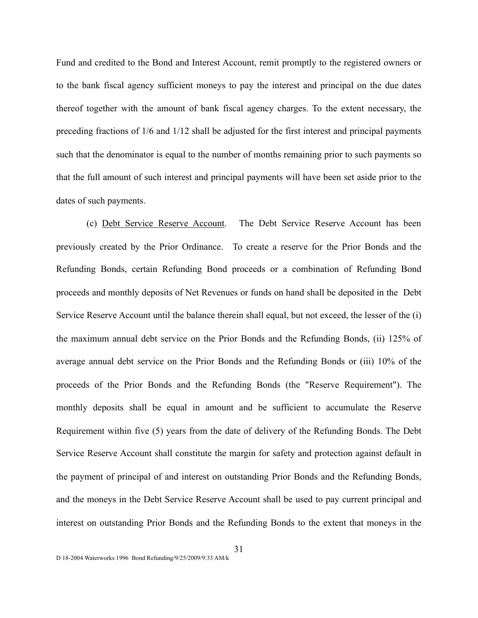Fund and credited to the Bond and Interest Account, remit promptly to the registered owners or to the bank fiscal agency sufficient moneys to pay the interest and principal on the due dates thereof together with the amount of bank fiscal agency charges. To the extent necessary, the preceding fractions of 1/6 and 1/12 shall be adjusted for the first interest and principal payments such that the denominator is equal to the number of months remaining prior to such payments so that the full amount of such interest and principal payments will have been set aside prior to the dates of such payments.

(c) Debt Service Reserve Account. The Debt Service Reserve Account has been previously created by the Prior Ordinance. To create a reserve for the Prior Bonds and the Refunding Bonds, certain Refunding Bond proceeds or a combination of Refunding Bond proceeds and monthly deposits of Net Revenues or funds on hand shall be deposited in the Debt Service Reserve Account until the balance therein shall equal, but not exceed, the lesser of the (i) the maximum annual debt service on the Prior Bonds and the Refunding Bonds, (ii) 125% of average annual debt service on the Prior Bonds and the Refunding Bonds or (iii) 10% of the proceeds of the Prior Bonds and the Refunding Bonds (the "Reserve Requirement"). The monthly deposits shall be equal in amount and be sufficient to accumulate the Reserve Requirement within five (5) years from the date of delivery of the Refunding Bonds. The Debt Service Reserve Account shall constitute the margin for safety and protection against default in the payment of principal of and interest on outstanding Prior Bonds and the Refunding Bonds, and the moneys in the Debt Service Reserve Account shall be used to pay current principal and interest on outstanding Prior Bonds and the Refunding Bonds to the extent that moneys in the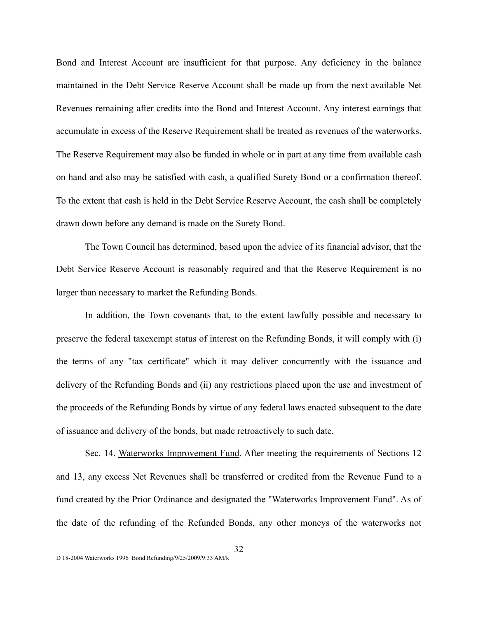Bond and Interest Account are insufficient for that purpose. Any deficiency in the balance maintained in the Debt Service Reserve Account shall be made up from the next available Net Revenues remaining after credits into the Bond and Interest Account. Any interest earnings that accumulate in excess of the Reserve Requirement shall be treated as revenues of the waterworks. The Reserve Requirement may also be funded in whole or in part at any time from available cash on hand and also may be satisfied with cash, a qualified Surety Bond or a confirmation thereof. To the extent that cash is held in the Debt Service Reserve Account, the cash shall be completely drawn down before any demand is made on the Surety Bond.

The Town Council has determined, based upon the advice of its financial advisor, that the Debt Service Reserve Account is reasonably required and that the Reserve Requirement is no larger than necessary to market the Refunding Bonds.

In addition, the Town covenants that, to the extent lawfully possible and necessary to preserve the federal taxexempt status of interest on the Refunding Bonds, it will comply with (i) the terms of any "tax certificate" which it may deliver concurrently with the issuance and delivery of the Refunding Bonds and (ii) any restrictions placed upon the use and investment of the proceeds of the Refunding Bonds by virtue of any federal laws enacted subsequent to the date of issuance and delivery of the bonds, but made retroactively to such date.

Sec. 14. Waterworks Improvement Fund. After meeting the requirements of Sections 12 and 13, any excess Net Revenues shall be transferred or credited from the Revenue Fund to a fund created by the Prior Ordinance and designated the "Waterworks Improvement Fund". As of the date of the refunding of the Refunded Bonds, any other moneys of the waterworks not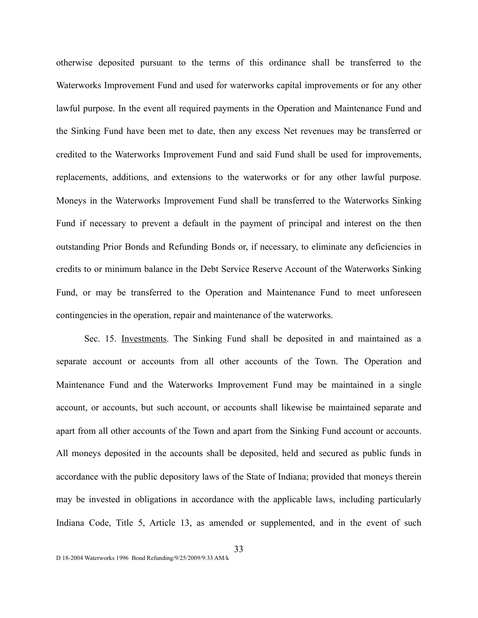otherwise deposited pursuant to the terms of this ordinance shall be transferred to the Waterworks Improvement Fund and used for waterworks capital improvements or for any other lawful purpose. In the event all required payments in the Operation and Maintenance Fund and the Sinking Fund have been met to date, then any excess Net revenues may be transferred or credited to the Waterworks Improvement Fund and said Fund shall be used for improvements, replacements, additions, and extensions to the waterworks or for any other lawful purpose. Moneys in the Waterworks Improvement Fund shall be transferred to the Waterworks Sinking Fund if necessary to prevent a default in the payment of principal and interest on the then outstanding Prior Bonds and Refunding Bonds or, if necessary, to eliminate any deficiencies in credits to or minimum balance in the Debt Service Reserve Account of the Waterworks Sinking Fund, or may be transferred to the Operation and Maintenance Fund to meet unforeseen contingencies in the operation, repair and maintenance of the waterworks.

Sec. 15. Investments. The Sinking Fund shall be deposited in and maintained as a separate account or accounts from all other accounts of the Town. The Operation and Maintenance Fund and the Waterworks Improvement Fund may be maintained in a single account, or accounts, but such account, or accounts shall likewise be maintained separate and apart from all other accounts of the Town and apart from the Sinking Fund account or accounts. All moneys deposited in the accounts shall be deposited, held and secured as public funds in accordance with the public depository laws of the State of Indiana; provided that moneys therein may be invested in obligations in accordance with the applicable laws, including particularly Indiana Code, Title 5, Article 13, as amended or supplemented, and in the event of such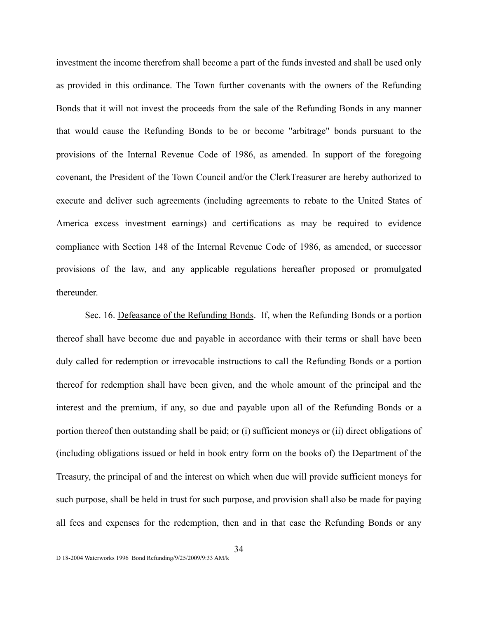investment the income therefrom shall become a part of the funds invested and shall be used only as provided in this ordinance. The Town further covenants with the owners of the Refunding Bonds that it will not invest the proceeds from the sale of the Refunding Bonds in any manner that would cause the Refunding Bonds to be or become "arbitrage" bonds pursuant to the provisions of the Internal Revenue Code of 1986, as amended. In support of the foregoing covenant, the President of the Town Council and/or the ClerkTreasurer are hereby authorized to execute and deliver such agreements (including agreements to rebate to the United States of America excess investment earnings) and certifications as may be required to evidence compliance with Section 148 of the Internal Revenue Code of 1986, as amended, or successor provisions of the law, and any applicable regulations hereafter proposed or promulgated thereunder.

Sec. 16. Defeasance of the Refunding Bonds. If, when the Refunding Bonds or a portion thereof shall have become due and payable in accordance with their terms or shall have been duly called for redemption or irrevocable instructions to call the Refunding Bonds or a portion thereof for redemption shall have been given, and the whole amount of the principal and the interest and the premium, if any, so due and payable upon all of the Refunding Bonds or a portion thereof then outstanding shall be paid; or (i) sufficient moneys or (ii) direct obligations of (including obligations issued or held in book entry form on the books of) the Department of the Treasury, the principal of and the interest on which when due will provide sufficient moneys for such purpose, shall be held in trust for such purpose, and provision shall also be made for paying all fees and expenses for the redemption, then and in that case the Refunding Bonds or any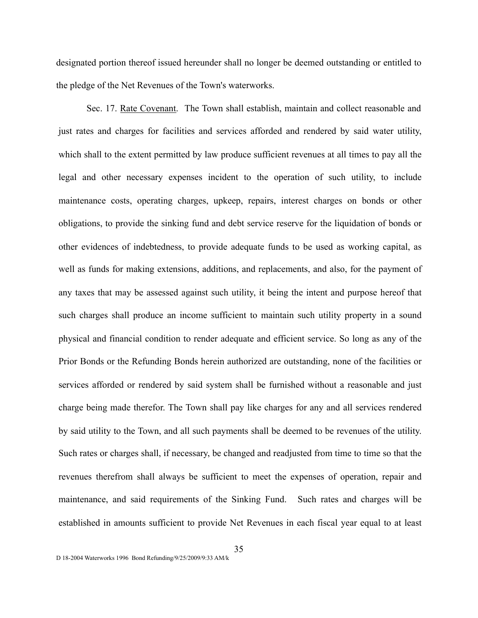designated portion thereof issued hereunder shall no longer be deemed outstanding or entitled to the pledge of the Net Revenues of the Town's waterworks.

Sec. 17. Rate Covenant. The Town shall establish, maintain and collect reasonable and just rates and charges for facilities and services afforded and rendered by said water utility, which shall to the extent permitted by law produce sufficient revenues at all times to pay all the legal and other necessary expenses incident to the operation of such utility, to include maintenance costs, operating charges, upkeep, repairs, interest charges on bonds or other obligations, to provide the sinking fund and debt service reserve for the liquidation of bonds or other evidences of indebtedness, to provide adequate funds to be used as working capital, as well as funds for making extensions, additions, and replacements, and also, for the payment of any taxes that may be assessed against such utility, it being the intent and purpose hereof that such charges shall produce an income sufficient to maintain such utility property in a sound physical and financial condition to render adequate and efficient service. So long as any of the Prior Bonds or the Refunding Bonds herein authorized are outstanding, none of the facilities or services afforded or rendered by said system shall be furnished without a reasonable and just charge being made therefor. The Town shall pay like charges for any and all services rendered by said utility to the Town, and all such payments shall be deemed to be revenues of the utility. Such rates or charges shall, if necessary, be changed and readjusted from time to time so that the revenues therefrom shall always be sufficient to meet the expenses of operation, repair and maintenance, and said requirements of the Sinking Fund. Such rates and charges will be established in amounts sufficient to provide Net Revenues in each fiscal year equal to at least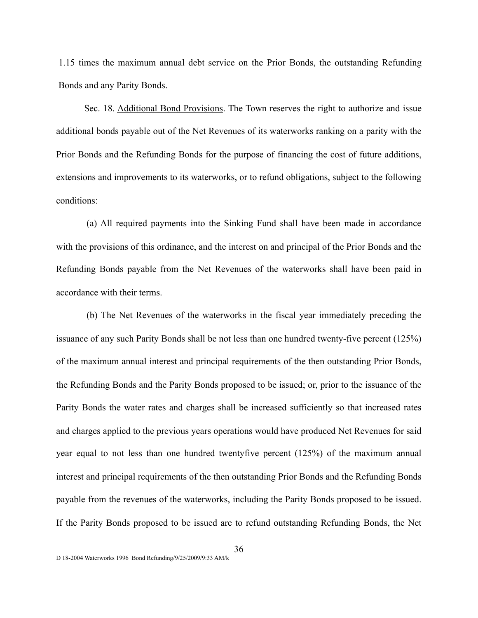1.15 times the maximum annual debt service on the Prior Bonds, the outstanding Refunding Bonds and any Parity Bonds.

Sec. 18. Additional Bond Provisions. The Town reserves the right to authorize and issue additional bonds payable out of the Net Revenues of its waterworks ranking on a parity with the Prior Bonds and the Refunding Bonds for the purpose of financing the cost of future additions, extensions and improvements to its waterworks, or to refund obligations, subject to the following conditions:

(a) All required payments into the Sinking Fund shall have been made in accordance with the provisions of this ordinance, and the interest on and principal of the Prior Bonds and the Refunding Bonds payable from the Net Revenues of the waterworks shall have been paid in accordance with their terms.

(b) The Net Revenues of the waterworks in the fiscal year immediately preceding the issuance of any such Parity Bonds shall be not less than one hundred twenty-five percent (125%) of the maximum annual interest and principal requirements of the then outstanding Prior Bonds, the Refunding Bonds and the Parity Bonds proposed to be issued; or, prior to the issuance of the Parity Bonds the water rates and charges shall be increased sufficiently so that increased rates and charges applied to the previous years operations would have produced Net Revenues for said year equal to not less than one hundred twentyfive percent (125%) of the maximum annual interest and principal requirements of the then outstanding Prior Bonds and the Refunding Bonds payable from the revenues of the waterworks, including the Parity Bonds proposed to be issued. If the Parity Bonds proposed to be issued are to refund outstanding Refunding Bonds, the Net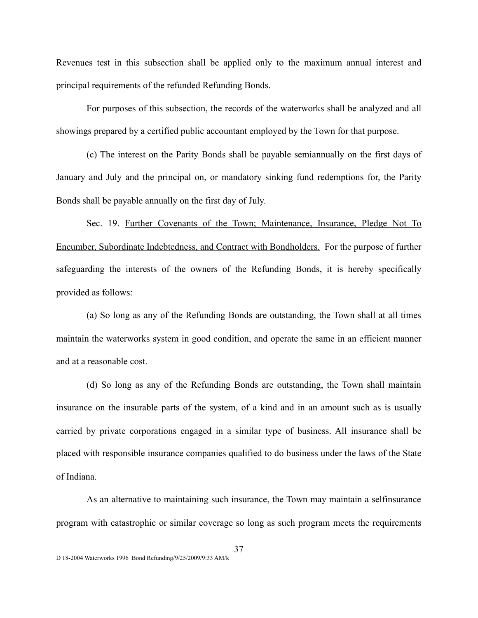Revenues test in this subsection shall be applied only to the maximum annual interest and principal requirements of the refunded Refunding Bonds.

For purposes of this subsection, the records of the waterworks shall be analyzed and all showings prepared by a certified public accountant employed by the Town for that purpose.

(c) The interest on the Parity Bonds shall be payable semiannually on the first days of January and July and the principal on, or mandatory sinking fund redemptions for, the Parity Bonds shall be payable annually on the first day of July.

Sec. 19. Further Covenants of the Town; Maintenance, Insurance, Pledge Not To Encumber, Subordinate Indebtedness, and Contract with Bondholders. For the purpose of further safeguarding the interests of the owners of the Refunding Bonds, it is hereby specifically provided as follows:

(a) So long as any of the Refunding Bonds are outstanding, the Town shall at all times maintain the waterworks system in good condition, and operate the same in an efficient manner and at a reasonable cost.

(d) So long as any of the Refunding Bonds are outstanding, the Town shall maintain insurance on the insurable parts of the system, of a kind and in an amount such as is usually carried by private corporations engaged in a similar type of business. All insurance shall be placed with responsible insurance companies qualified to do business under the laws of the State of Indiana.

As an alternative to maintaining such insurance, the Town may maintain a selfinsurance program with catastrophic or similar coverage so long as such program meets the requirements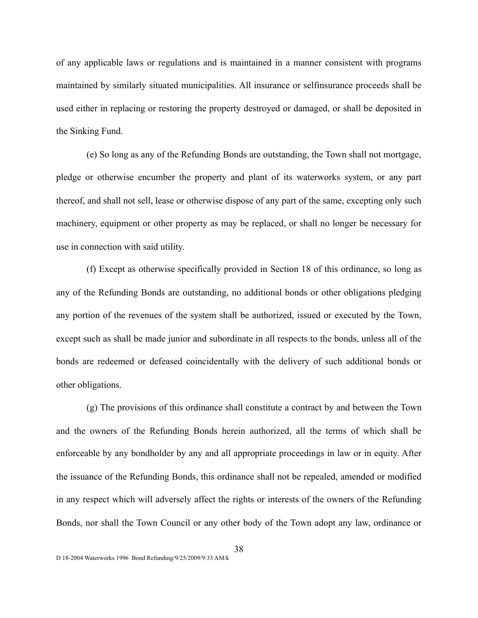of any applicable laws or regulations and is maintained in a manner consistent with programs maintained by similarly situated municipalities. All insurance or selfinsurance proceeds shall be used either in replacing or restoring the property destroyed or damaged, or shall be deposited in the Sinking Fund.

(e) So long as any of the Refunding Bonds are outstanding, the Town shall not mortgage, pledge or otherwise encumber the property and plant of its waterworks system, or any part thereof, and shall not sell, lease or otherwise dispose of any part of the same, excepting only such machinery, equipment or other property as may be replaced, or shall no longer be necessary for use in connection with said utility.

(f) Except as otherwise specifically provided in Section 18 of this ordinance, so long as any of the Refunding Bonds are outstanding, no additional bonds or other obligations pledging any portion of the revenues of the system shall be authorized, issued or executed by the Town, except such as shall be made junior and subordinate in all respects to the bonds, unless all of the bonds are redeemed or defeased coincidentally with the delivery of such additional bonds or other obligations.

(g) The provisions of this ordinance shall constitute a contract by and between the Town and the owners of the Refunding Bonds herein authorized, all the terms of which shall be enforceable by any bondholder by any and all appropriate proceedings in law or in equity. After the issuance of the Refunding Bonds, this ordinance shall not be repealed, amended or modified in any respect which will adversely affect the rights or interests of the owners of the Refunding Bonds, nor shall the Town Council or any other body of the Town adopt any law, ordinance or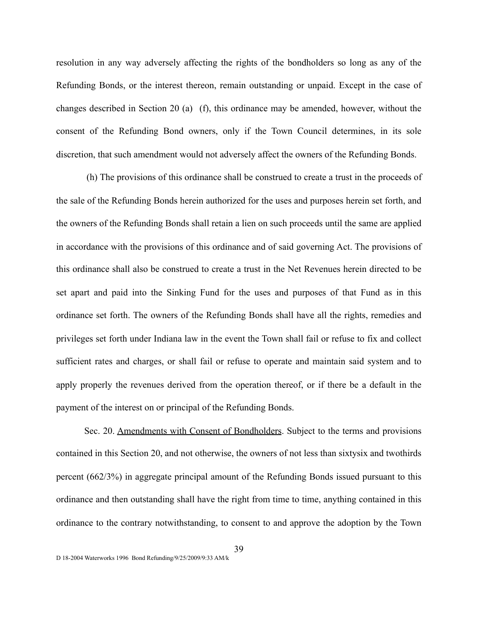resolution in any way adversely affecting the rights of the bondholders so long as any of the Refunding Bonds, or the interest thereon, remain outstanding or unpaid. Except in the case of changes described in Section 20 (a) (f), this ordinance may be amended, however, without the consent of the Refunding Bond owners, only if the Town Council determines, in its sole discretion, that such amendment would not adversely affect the owners of the Refunding Bonds.

(h) The provisions of this ordinance shall be construed to create a trust in the proceeds of the sale of the Refunding Bonds herein authorized for the uses and purposes herein set forth, and the owners of the Refunding Bonds shall retain a lien on such proceeds until the same are applied in accordance with the provisions of this ordinance and of said governing Act. The provisions of this ordinance shall also be construed to create a trust in the Net Revenues herein directed to be set apart and paid into the Sinking Fund for the uses and purposes of that Fund as in this ordinance set forth. The owners of the Refunding Bonds shall have all the rights, remedies and privileges set forth under Indiana law in the event the Town shall fail or refuse to fix and collect sufficient rates and charges, or shall fail or refuse to operate and maintain said system and to apply properly the revenues derived from the operation thereof, or if there be a default in the payment of the interest on or principal of the Refunding Bonds.

Sec. 20. Amendments with Consent of Bondholders. Subject to the terms and provisions contained in this Section 20, and not otherwise, the owners of not less than sixtysix and twothirds percent (662/3%) in aggregate principal amount of the Refunding Bonds issued pursuant to this ordinance and then outstanding shall have the right from time to time, anything contained in this ordinance to the contrary notwithstanding, to consent to and approve the adoption by the Town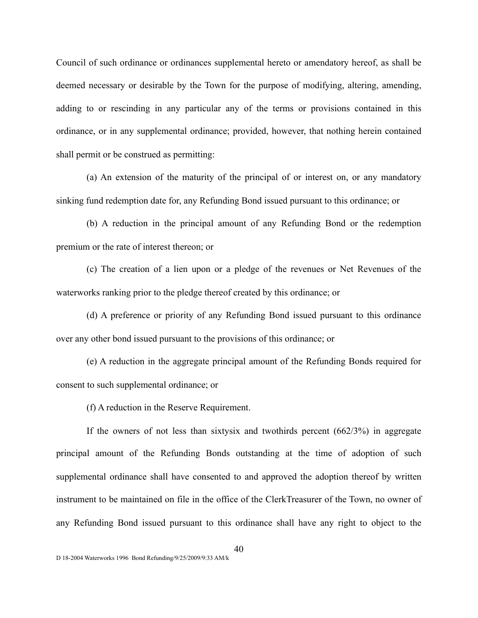Council of such ordinance or ordinances supplemental hereto or amendatory hereof, as shall be deemed necessary or desirable by the Town for the purpose of modifying, altering, amending, adding to or rescinding in any particular any of the terms or provisions contained in this ordinance, or in any supplemental ordinance; provided, however, that nothing herein contained shall permit or be construed as permitting:

(a) An extension of the maturity of the principal of or interest on, or any mandatory sinking fund redemption date for, any Refunding Bond issued pursuant to this ordinance; or

(b) A reduction in the principal amount of any Refunding Bond or the redemption premium or the rate of interest thereon; or

(c) The creation of a lien upon or a pledge of the revenues or Net Revenues of the waterworks ranking prior to the pledge thereof created by this ordinance; or

(d) A preference or priority of any Refunding Bond issued pursuant to this ordinance over any other bond issued pursuant to the provisions of this ordinance; or

(e) A reduction in the aggregate principal amount of the Refunding Bonds required for consent to such supplemental ordinance; or

(f) A reduction in the Reserve Requirement.

If the owners of not less than sixtysix and twothirds percent  $(662/3%)$  in aggregate principal amount of the Refunding Bonds outstanding at the time of adoption of such supplemental ordinance shall have consented to and approved the adoption thereof by written instrument to be maintained on file in the office of the ClerkTreasurer of the Town, no owner of any Refunding Bond issued pursuant to this ordinance shall have any right to object to the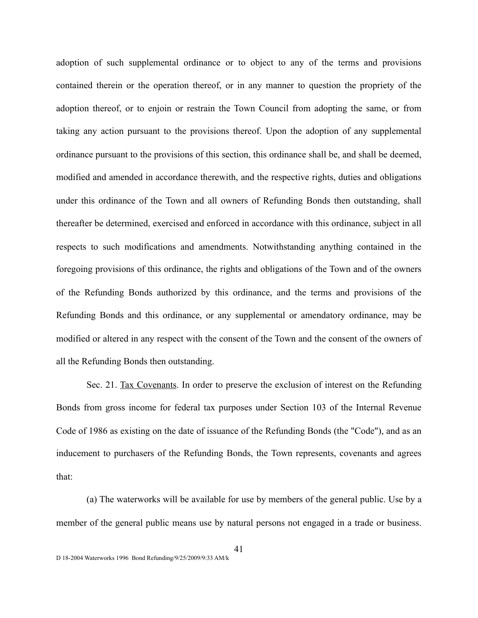adoption of such supplemental ordinance or to object to any of the terms and provisions contained therein or the operation thereof, or in any manner to question the propriety of the adoption thereof, or to enjoin or restrain the Town Council from adopting the same, or from taking any action pursuant to the provisions thereof. Upon the adoption of any supplemental ordinance pursuant to the provisions of this section, this ordinance shall be, and shall be deemed, modified and amended in accordance therewith, and the respective rights, duties and obligations under this ordinance of the Town and all owners of Refunding Bonds then outstanding, shall thereafter be determined, exercised and enforced in accordance with this ordinance, subject in all respects to such modifications and amendments. Notwithstanding anything contained in the foregoing provisions of this ordinance, the rights and obligations of the Town and of the owners of the Refunding Bonds authorized by this ordinance, and the terms and provisions of the Refunding Bonds and this ordinance, or any supplemental or amendatory ordinance, may be modified or altered in any respect with the consent of the Town and the consent of the owners of all the Refunding Bonds then outstanding.

Sec. 21. Tax Covenants. In order to preserve the exclusion of interest on the Refunding Bonds from gross income for federal tax purposes under Section 103 of the Internal Revenue Code of 1986 as existing on the date of issuance of the Refunding Bonds (the "Code"), and as an inducement to purchasers of the Refunding Bonds, the Town represents, covenants and agrees that:

(a) The waterworks will be available for use by members of the general public. Use by a member of the general public means use by natural persons not engaged in a trade or business.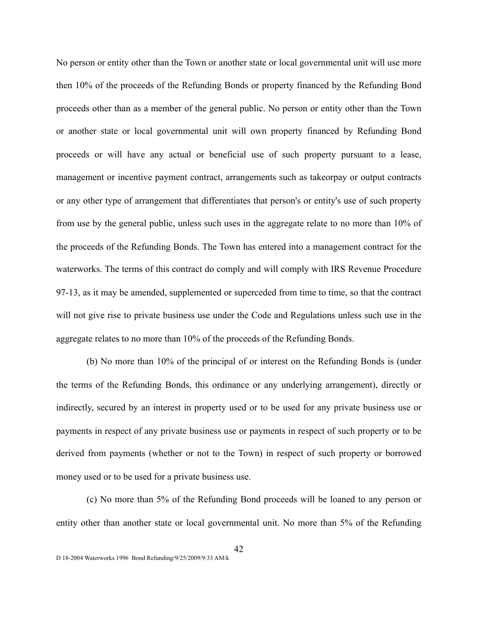No person or entity other than the Town or another state or local governmental unit will use more then 10% of the proceeds of the Refunding Bonds or property financed by the Refunding Bond proceeds other than as a member of the general public. No person or entity other than the Town or another state or local governmental unit will own property financed by Refunding Bond proceeds or will have any actual or beneficial use of such property pursuant to a lease, management or incentive payment contract, arrangements such as takeorpay or output contracts or any other type of arrangement that differentiates that person's or entity's use of such property from use by the general public, unless such uses in the aggregate relate to no more than 10% of the proceeds of the Refunding Bonds. The Town has entered into a management contract for the waterworks. The terms of this contract do comply and will comply with IRS Revenue Procedure 97-13, as it may be amended, supplemented or superceded from time to time, so that the contract will not give rise to private business use under the Code and Regulations unless such use in the aggregate relates to no more than 10% of the proceeds of the Refunding Bonds.

(b) No more than 10% of the principal of or interest on the Refunding Bonds is (under the terms of the Refunding Bonds, this ordinance or any underlying arrangement), directly or indirectly, secured by an interest in property used or to be used for any private business use or payments in respect of any private business use or payments in respect of such property or to be derived from payments (whether or not to the Town) in respect of such property or borrowed money used or to be used for a private business use.

(c) No more than 5% of the Refunding Bond proceeds will be loaned to any person or entity other than another state or local governmental unit. No more than 5% of the Refunding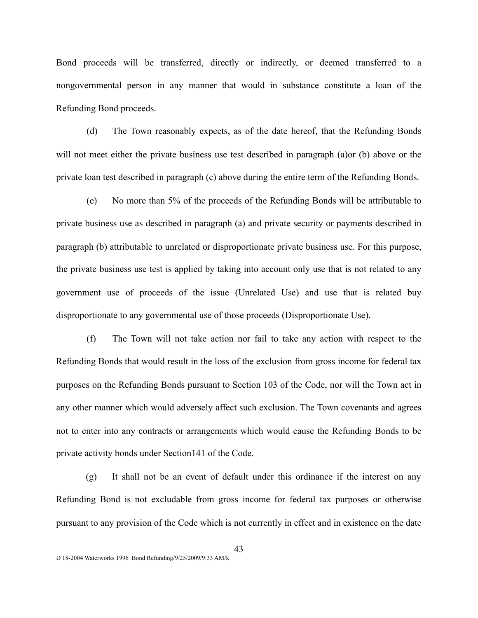Bond proceeds will be transferred, directly or indirectly, or deemed transferred to a nongovernmental person in any manner that would in substance constitute a loan of the Refunding Bond proceeds.

(d) The Town reasonably expects, as of the date hereof, that the Refunding Bonds will not meet either the private business use test described in paragraph (a)or (b) above or the private loan test described in paragraph (c) above during the entire term of the Refunding Bonds.

(e) No more than 5% of the proceeds of the Refunding Bonds will be attributable to private business use as described in paragraph (a) and private security or payments described in paragraph (b) attributable to unrelated or disproportionate private business use. For this purpose, the private business use test is applied by taking into account only use that is not related to any government use of proceeds of the issue (Unrelated Use) and use that is related buy disproportionate to any governmental use of those proceeds (Disproportionate Use).

(f) The Town will not take action nor fail to take any action with respect to the Refunding Bonds that would result in the loss of the exclusion from gross income for federal tax purposes on the Refunding Bonds pursuant to Section 103 of the Code, nor will the Town act in any other manner which would adversely affect such exclusion. The Town covenants and agrees not to enter into any contracts or arrangements which would cause the Refunding Bonds to be private activity bonds under Section141 of the Code.

(g) It shall not be an event of default under this ordinance if the interest on any Refunding Bond is not excludable from gross income for federal tax purposes or otherwise pursuant to any provision of the Code which is not currently in effect and in existence on the date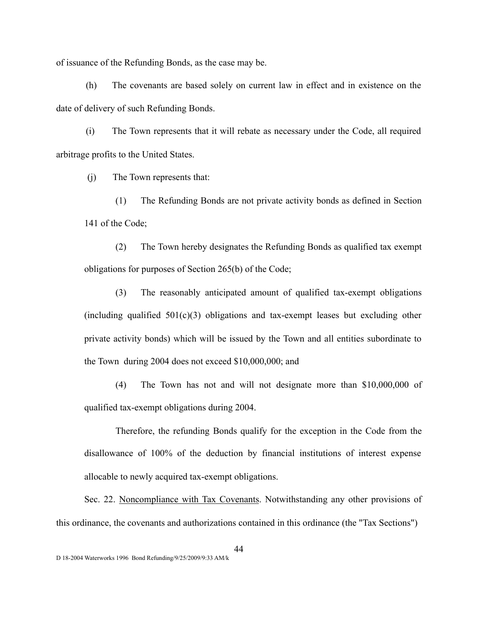of issuance of the Refunding Bonds, as the case may be.

(h) The covenants are based solely on current law in effect and in existence on the date of delivery of such Refunding Bonds.

(i) The Town represents that it will rebate as necessary under the Code, all required arbitrage profits to the United States.

(j) The Town represents that:

(1) The Refunding Bonds are not private activity bonds as defined in Section 141 of the Code;

(2) The Town hereby designates the Refunding Bonds as qualified tax exempt obligations for purposes of Section 265(b) of the Code;

(3) The reasonably anticipated amount of qualified tax-exempt obligations (including qualified  $501(c)(3)$  obligations and tax-exempt leases but excluding other private activity bonds) which will be issued by the Town and all entities subordinate to the Town during 2004 does not exceed \$10,000,000; and

(4) The Town has not and will not designate more than \$10,000,000 of qualified tax-exempt obligations during 2004.

Therefore, the refunding Bonds qualify for the exception in the Code from the disallowance of 100% of the deduction by financial institutions of interest expense allocable to newly acquired tax-exempt obligations.

Sec. 22. Noncompliance with Tax Covenants. Notwithstanding any other provisions of this ordinance, the covenants and authorizations contained in this ordinance (the "Tax Sections")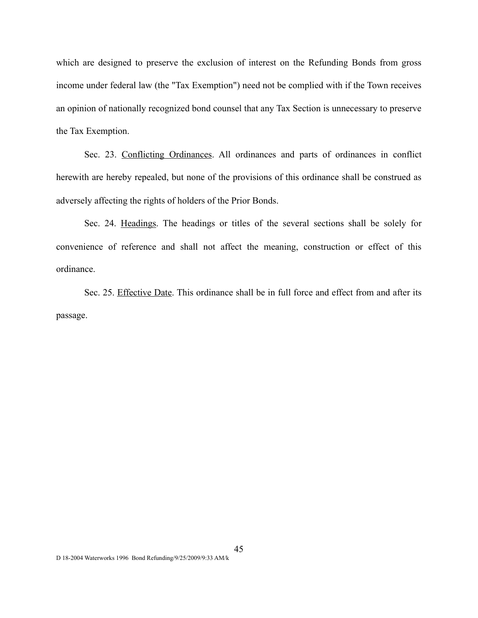which are designed to preserve the exclusion of interest on the Refunding Bonds from gross income under federal law (the "Tax Exemption") need not be complied with if the Town receives an opinion of nationally recognized bond counsel that any Tax Section is unnecessary to preserve the Tax Exemption.

Sec. 23. Conflicting Ordinances. All ordinances and parts of ordinances in conflict herewith are hereby repealed, but none of the provisions of this ordinance shall be construed as adversely affecting the rights of holders of the Prior Bonds.

Sec. 24. Headings. The headings or titles of the several sections shall be solely for convenience of reference and shall not affect the meaning, construction or effect of this ordinance.

Sec. 25. Effective Date. This ordinance shall be in full force and effect from and after its passage.